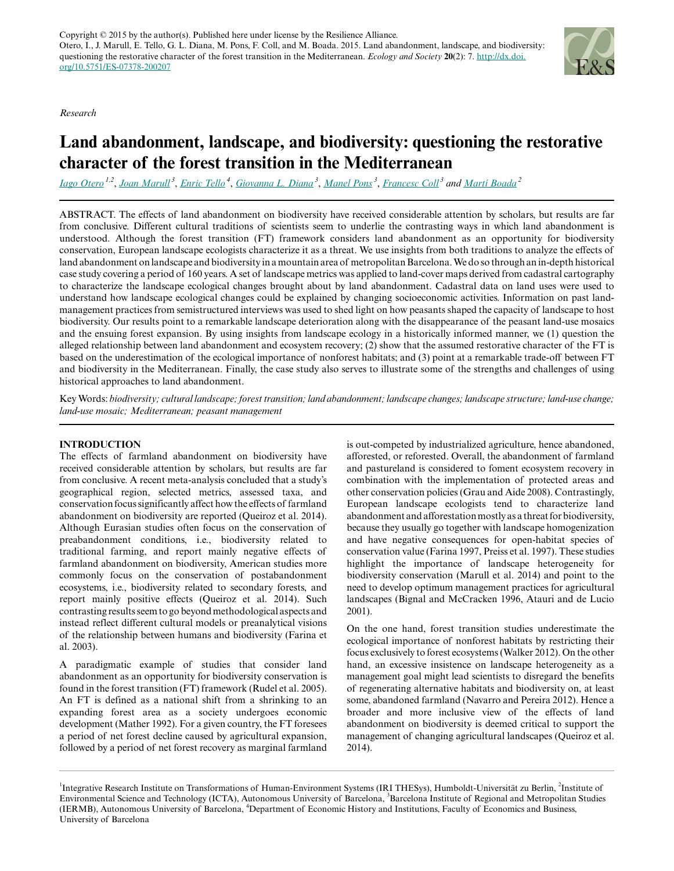*Research*

# **Land abandonment, landscape, and biodiversity: questioning the restorative character of the forest transition in the Mediterranean**

*[Iago Otero](mailto:iago.otero.armengol@hu-berlin.de) 1,2* , *[Joan Marull](mailto:joan.marull@uab.cat)<sup>3</sup>* , *[Enric Tello](mailto:tello@ub.edu)<sup>4</sup>* , *[Giovanna L. Diana](mailto:gio.diana87@libero.it)<sup>3</sup>* , *[Manel Pons](mailto:manel.pons.sanvidal@uab.cat)<sup>3</sup>* , *[Francesc Coll](mailto:Francesc.Coll@uab.cat)<sup>3</sup> and [Martí Boada](mailto:marti.boada@uab.cat)<sup>2</sup>*

ABSTRACT. The effects of land abandonment on biodiversity have received considerable attention by scholars, but results are far from conclusive. Different cultural traditions of scientists seem to underlie the contrasting ways in which land abandonment is understood. Although the forest transition (FT) framework considers land abandonment as an opportunity for biodiversity conservation, European landscape ecologists characterize it as a threat. We use insights from both traditions to analyze the effects of land abandonment on landscape and biodiversity in a mountain area of metropolitan Barcelona. We do so through an in-depth historical case study covering a period of 160 years. A set of landscape metrics was applied to land-cover maps derived from cadastral cartography to characterize the landscape ecological changes brought about by land abandonment. Cadastral data on land uses were used to understand how landscape ecological changes could be explained by changing socioeconomic activities. Information on past landmanagement practices from semistructured interviews was used to shed light on how peasants shaped the capacity of landscape to host biodiversity. Our results point to a remarkable landscape deterioration along with the disappearance of the peasant land-use mosaics and the ensuing forest expansion. By using insights from landscape ecology in a historically informed manner, we (1) question the alleged relationship between land abandonment and ecosystem recovery; (2) show that the assumed restorative character of the FT is based on the underestimation of the ecological importance of nonforest habitats; and (3) point at a remarkable trade-off between FT and biodiversity in the Mediterranean. Finally, the case study also serves to illustrate some of the strengths and challenges of using historical approaches to land abandonment.

Key Words: *biodiversity; cultural landscape; forest transition; land abandonment; landscape changes; landscape structure; land-use change; land-use mosaic; Mediterranean; peasant management*

# **INTRODUCTION**

The effects of farmland abandonment on biodiversity have received considerable attention by scholars, but results are far from conclusive. A recent meta-analysis concluded that a study's geographical region, selected metrics, assessed taxa, and conservation focus significantly affect how the effects of farmland abandonment on biodiversity are reported (Queiroz et al. 2014). Although Eurasian studies often focus on the conservation of preabandonment conditions, i.e., biodiversity related to traditional farming, and report mainly negative effects of farmland abandonment on biodiversity, American studies more commonly focus on the conservation of postabandonment ecosystems, i.e., biodiversity related to secondary forests, and report mainly positive effects (Queiroz et al. 2014). Such contrasting results seem to go beyond methodological aspects and instead reflect different cultural models or preanalytical visions of the relationship between humans and biodiversity (Farina et al. 2003).

A paradigmatic example of studies that consider land abandonment as an opportunity for biodiversity conservation is found in the forest transition (FT) framework (Rudel et al. 2005). An FT is defined as a national shift from a shrinking to an expanding forest area as a society undergoes economic development (Mather 1992). For a given country, the FT foresees a period of net forest decline caused by agricultural expansion, followed by a period of net forest recovery as marginal farmland

is out-competed by industrialized agriculture, hence abandoned, afforested, or reforested. Overall, the abandonment of farmland and pastureland is considered to foment ecosystem recovery in combination with the implementation of protected areas and other conservation policies (Grau and Aide 2008). Contrastingly, European landscape ecologists tend to characterize land abandonment and afforestation mostly as a threat for biodiversity, because they usually go together with landscape homogenization and have negative consequences for open-habitat species of conservation value (Farina 1997, Preiss et al. 1997). These studies highlight the importance of landscape heterogeneity for biodiversity conservation (Marull et al. 2014) and point to the need to develop optimum management practices for agricultural landscapes (Bignal and McCracken 1996, Atauri and de Lucio 2001).

On the one hand, forest transition studies underestimate the ecological importance of nonforest habitats by restricting their focus exclusively to forest ecosystems (Walker 2012). On the other hand, an excessive insistence on landscape heterogeneity as a management goal might lead scientists to disregard the benefits of regenerating alternative habitats and biodiversity on, at least some, abandoned farmland (Navarro and Pereira 2012). Hence a broader and more inclusive view of the effects of land abandonment on biodiversity is deemed critical to support the management of changing agricultural landscapes (Queiroz et al. 2014).

<sup>&</sup>lt;sup>1</sup>Integrative Research Institute on Transformations of Human-Environment Systems (IRI THESys), Humboldt-Universität zu Berlin, <sup>2</sup>Institute of Environmental Science and Technology (ICTA), Autonomous University of Barcelona, <sup>3</sup>Barcelona Institute of Regional and Metropolitan Studies (IERMB), Autonomous University of Barcelona, <sup>4</sup>Department of Economic History and Institutions, Faculty of Economics and Business, University of Barcelona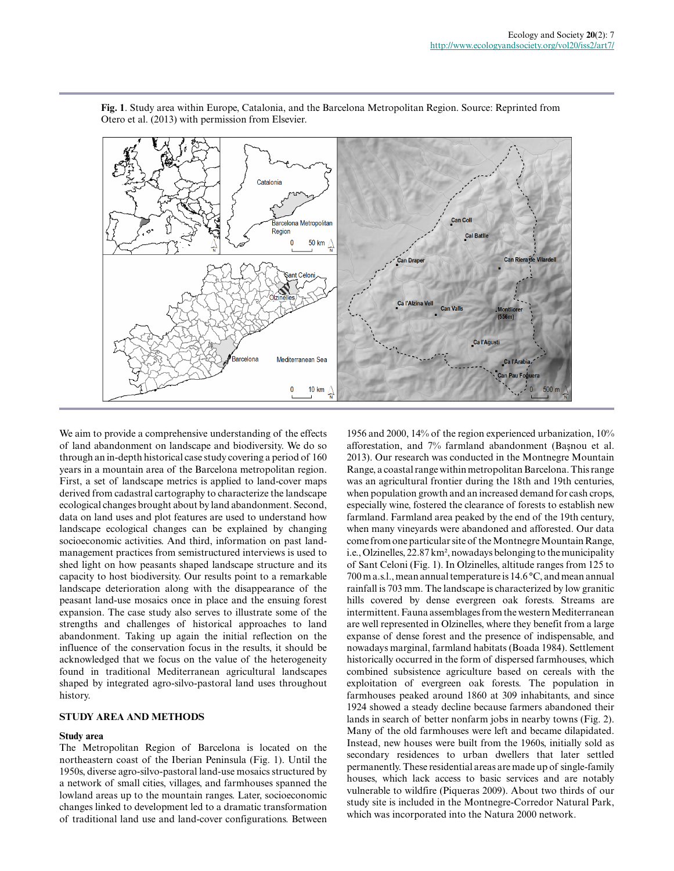

**Fig. 1**. Study area within Europe, Catalonia, and the Barcelona Metropolitan Region. Source: Reprinted from Otero et al. (2013) with permission from Elsevier.

We aim to provide a comprehensive understanding of the effects of land abandonment on landscape and biodiversity. We do so through an in-depth historical case study covering a period of 160 years in a mountain area of the Barcelona metropolitan region. First, a set of landscape metrics is applied to land-cover maps derived from cadastral cartography to characterize the landscape ecological changes brought about by land abandonment. Second, data on land uses and plot features are used to understand how landscape ecological changes can be explained by changing socioeconomic activities. And third, information on past landmanagement practices from semistructured interviews is used to shed light on how peasants shaped landscape structure and its capacity to host biodiversity. Our results point to a remarkable landscape deterioration along with the disappearance of the peasant land-use mosaics once in place and the ensuing forest expansion. The case study also serves to illustrate some of the strengths and challenges of historical approaches to land abandonment. Taking up again the initial reflection on the influence of the conservation focus in the results, it should be acknowledged that we focus on the value of the heterogeneity found in traditional Mediterranean agricultural landscapes shaped by integrated agro-silvo-pastoral land uses throughout history.

# **STUDY AREA AND METHODS**

# **Study area**

The Metropolitan Region of Barcelona is located on the northeastern coast of the Iberian Peninsula (Fig. 1). Until the 1950s, diverse agro-silvo-pastoral land-use mosaics structured by a network of small cities, villages, and farmhouses spanned the lowland areas up to the mountain ranges. Later, socioeconomic changes linked to development led to a dramatic transformation of traditional land use and land-cover configurations. Between

1956 and 2000, 14% of the region experienced urbanization, 10% afforestation, and 7% farmland abandonment (Başnou et al. 2013). Our research was conducted in the Montnegre Mountain Range, a coastal range within metropolitan Barcelona. This range was an agricultural frontier during the 18th and 19th centuries, when population growth and an increased demand for cash crops, especially wine, fostered the clearance of forests to establish new farmland. Farmland area peaked by the end of the 19th century, when many vineyards were abandoned and afforested. Our data come from one particular site of the Montnegre Mountain Range, i.e., Olzinelles, 22.87 km², nowadays belonging to the municipality of Sant Celoni (Fig. 1). In Olzinelles, altitude ranges from 125 to 700 m a.s.l., mean annual temperature is 14.6 °C, and mean annual rainfall is 703 mm. The landscape is characterized by low granitic hills covered by dense evergreen oak forests. Streams are intermittent. Fauna assemblages from the western Mediterranean are well represented in Olzinelles, where they benefit from a large expanse of dense forest and the presence of indispensable, and nowadays marginal, farmland habitats (Boada 1984). Settlement historically occurred in the form of dispersed farmhouses, which combined subsistence agriculture based on cereals with the exploitation of evergreen oak forests. The population in farmhouses peaked around 1860 at 309 inhabitants, and since 1924 showed a steady decline because farmers abandoned their lands in search of better nonfarm jobs in nearby towns (Fig. 2). Many of the old farmhouses were left and became dilapidated. Instead, new houses were built from the 1960s, initially sold as secondary residences to urban dwellers that later settled permanently. These residential areas are made up of single-family houses, which lack access to basic services and are notably vulnerable to wildfire (Piqueras 2009). About two thirds of our study site is included in the Montnegre-Corredor Natural Park, which was incorporated into the Natura 2000 network.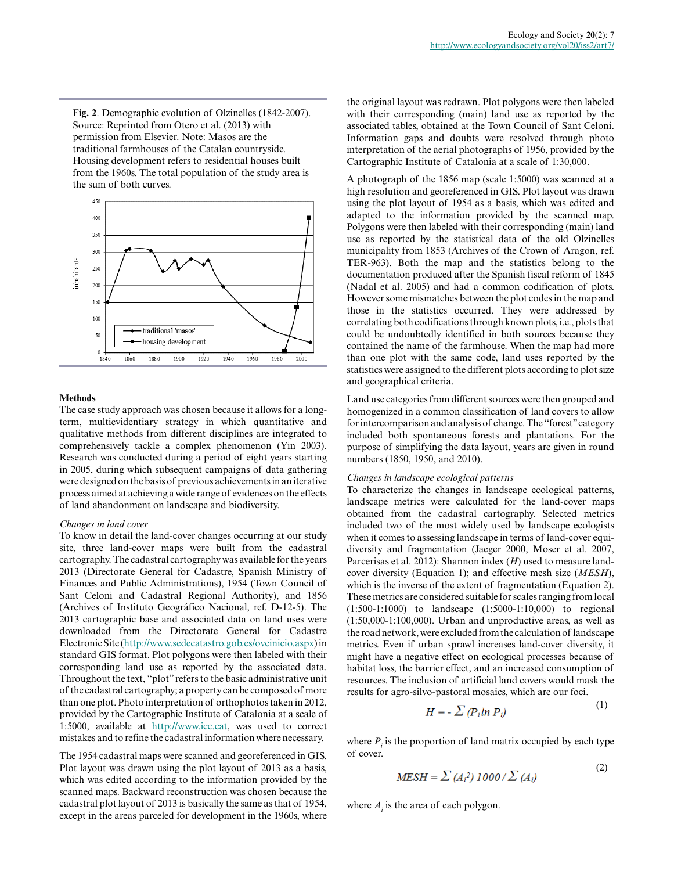**Fig. 2**. Demographic evolution of Olzinelles (1842-2007). Source: Reprinted from Otero et al. (2013) with permission from Elsevier. Note: Masos are the traditional farmhouses of the Catalan countryside. Housing development refers to residential houses built from the 1960s. The total population of the study area is the sum of both curves.



# **Methods**

The case study approach was chosen because it allows for a longterm, multievidentiary strategy in which quantitative and qualitative methods from different disciplines are integrated to comprehensively tackle a complex phenomenon (Yin 2003). Research was conducted during a period of eight years starting in 2005, during which subsequent campaigns of data gathering were designed on the basis of previous achievements in an iterative process aimed at achieving a wide range of evidences on the effects of land abandonment on landscape and biodiversity.

## *Changes in land cover*

To know in detail the land-cover changes occurring at our study site, three land-cover maps were built from the cadastral cartography. The cadastral cartography was available for the years 2013 (Directorate General for Cadastre, Spanish Ministry of Finances and Public Administrations), 1954 (Town Council of Sant Celoni and Cadastral Regional Authority), and 1856 (Archives of Instituto Geográfico Nacional, ref. D-12-5). The 2013 cartographic base and associated data on land uses were downloaded from the Directorate General for Cadastre Electronic Site (<http://www.sedecatastro.gob.es/ovcinicio.aspx>) in standard GIS format. Plot polygons were then labeled with their corresponding land use as reported by the associated data. Throughout the text, "plot" refers to the basic administrative unit of the cadastral cartography; a property can be composed of more than one plot. Photo interpretation of orthophotos taken in 2012, provided by the Cartographic Institute of Catalonia at a scale of 1:5000, available at <http://www.icc.cat>, was used to correct mistakes and to refine the cadastral information where necessary.

The 1954 cadastral maps were scanned and georeferenced in GIS. Plot layout was drawn using the plot layout of 2013 as a basis, which was edited according to the information provided by the scanned maps. Backward reconstruction was chosen because the cadastral plot layout of 2013 is basically the same as that of 1954, except in the areas parceled for development in the 1960s, where

the original layout was redrawn. Plot polygons were then labeled with their corresponding (main) land use as reported by the associated tables, obtained at the Town Council of Sant Celoni. Information gaps and doubts were resolved through photo interpretation of the aerial photographs of 1956, provided by the Cartographic Institute of Catalonia at a scale of 1:30,000.

A photograph of the 1856 map (scale 1:5000) was scanned at a high resolution and georeferenced in GIS. Plot layout was drawn using the plot layout of 1954 as a basis, which was edited and adapted to the information provided by the scanned map. Polygons were then labeled with their corresponding (main) land use as reported by the statistical data of the old Olzinelles municipality from 1853 (Archives of the Crown of Aragon, ref. TER-963). Both the map and the statistics belong to the documentation produced after the Spanish fiscal reform of 1845 (Nadal et al. 2005) and had a common codification of plots. However some mismatches between the plot codes in the map and those in the statistics occurred. They were addressed by correlating both codifications through known plots, i.e., plots that could be undoubtedly identified in both sources because they contained the name of the farmhouse. When the map had more than one plot with the same code, land uses reported by the statistics were assigned to the different plots according to plot size and geographical criteria.

Land use categories from different sources were then grouped and homogenized in a common classification of land covers to allow for intercomparison and analysis of change. The "forest" category included both spontaneous forests and plantations. For the purpose of simplifying the data layout, years are given in round numbers (1850, 1950, and 2010).

### *Changes in landscape ecological patterns*

To characterize the changes in landscape ecological patterns, landscape metrics were calculated for the land-cover maps obtained from the cadastral cartography. Selected metrics included two of the most widely used by landscape ecologists when it comes to assessing landscape in terms of land-cover equidiversity and fragmentation (Jaeger 2000, Moser et al. 2007, Parcerisas et al. 2012): Shannon index (*H*) used to measure landcover diversity (Equation 1); and effective mesh size (*MESH*), which is the inverse of the extent of fragmentation (Equation 2). These metrics are considered suitable for scales ranging from local (1:500-1:1000) to landscape (1:5000-1:10,000) to regional (1:50,000-1:100,000). Urban and unproductive areas, as well as the road network, were excluded from the calculation of landscape metrics. Even if urban sprawl increases land-cover diversity, it might have a negative effect on ecological processes because of habitat loss, the barrier effect, and an increased consumption of resources. The inclusion of artificial land covers would mask the results for agro-silvo-pastoral mosaics, which are our foci.

$$
H = -\sum (P_i \ln P_i) \tag{1}
$$

 $(2)$ 

where  $P_i$  is the proportion of land matrix occupied by each type of cover.

$$
MESH = \sum (A_i^2) 1000 / \sum (A_i)
$$

where  $A_i$  is the area of each polygon.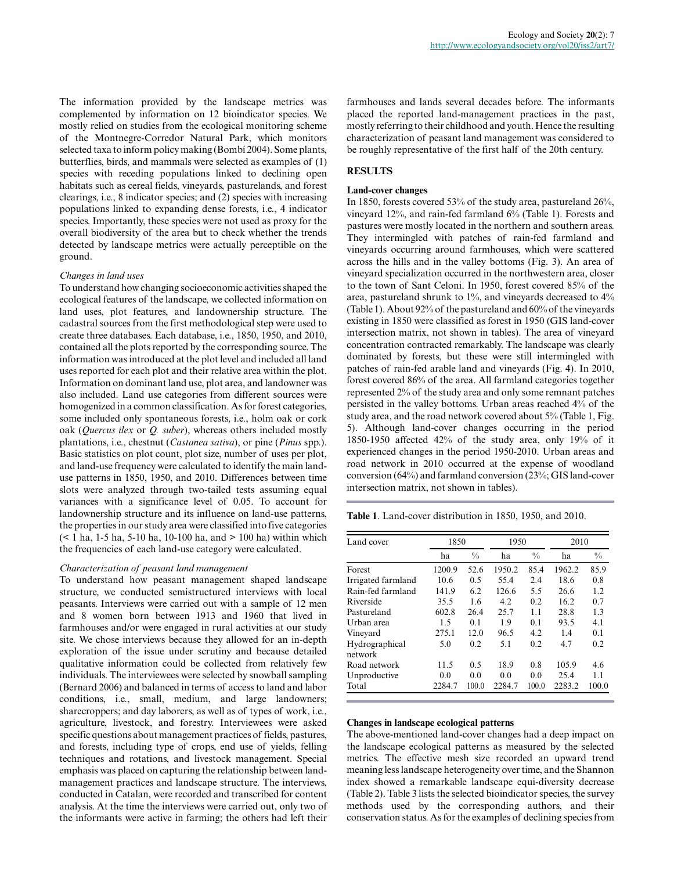The information provided by the landscape metrics was complemented by information on 12 bioindicator species. We mostly relied on studies from the ecological monitoring scheme of the Montnegre-Corredor Natural Park, which monitors selected taxa to inform policy making (Bombí 2004). Some plants, butterflies, birds, and mammals were selected as examples of (1) species with receding populations linked to declining open habitats such as cereal fields, vineyards, pasturelands, and forest clearings, i.e., 8 indicator species; and (2) species with increasing populations linked to expanding dense forests, i.e., 4 indicator species. Importantly, these species were not used as proxy for the overall biodiversity of the area but to check whether the trends detected by landscape metrics were actually perceptible on the ground.

## *Changes in land uses*

To understand how changing socioeconomic activities shaped the ecological features of the landscape, we collected information on land uses, plot features, and landownership structure. The cadastral sources from the first methodological step were used to create three databases. Each database, i.e., 1850, 1950, and 2010, contained all the plots reported by the corresponding source. The information was introduced at the plot level and included all land uses reported for each plot and their relative area within the plot. Information on dominant land use, plot area, and landowner was also included. Land use categories from different sources were homogenized in a common classification. As for forest categories, some included only spontaneous forests, i.e., holm oak or cork oak (*Quercus ilex* or *Q. suber*), whereas others included mostly plantations, i.e., chestnut (*Castanea sativa*), or pine (*Pinus* spp.). Basic statistics on plot count, plot size, number of uses per plot, and land-use frequency were calculated to identify the main landuse patterns in 1850, 1950, and 2010. Differences between time slots were analyzed through two-tailed tests assuming equal variances with a significance level of 0.05. To account for landownership structure and its influence on land-use patterns, the properties in our study area were classified into five categories (< 1 ha, 1-5 ha, 5-10 ha, 10-100 ha, and > 100 ha) within which the frequencies of each land-use category were calculated.

#### *Characterization of peasant land management*

To understand how peasant management shaped landscape structure, we conducted semistructured interviews with local peasants. Interviews were carried out with a sample of 12 men and 8 women born between 1913 and 1960 that lived in farmhouses and/or were engaged in rural activities at our study site. We chose interviews because they allowed for an in-depth exploration of the issue under scrutiny and because detailed qualitative information could be collected from relatively few individuals. The interviewees were selected by snowball sampling (Bernard 2006) and balanced in terms of access to land and labor conditions, i.e., small, medium, and large landowners; sharecroppers; and day laborers, as well as of types of work, i.e., agriculture, livestock, and forestry. Interviewees were asked specific questions about management practices of fields, pastures, and forests, including type of crops, end use of yields, felling techniques and rotations, and livestock management. Special emphasis was placed on capturing the relationship between landmanagement practices and landscape structure. The interviews, conducted in Catalan, were recorded and transcribed for content analysis. At the time the interviews were carried out, only two of the informants were active in farming; the others had left their

farmhouses and lands several decades before. The informants placed the reported land-management practices in the past, mostly referring to their childhood and youth. Hence the resulting characterization of peasant land management was considered to be roughly representative of the first half of the 20th century.

# **RESULTS**

## **Land-cover changes**

In 1850, forests covered 53% of the study area, pastureland 26%, vineyard 12%, and rain-fed farmland 6% (Table 1). Forests and pastures were mostly located in the northern and southern areas. They intermingled with patches of rain-fed farmland and vineyards occurring around farmhouses, which were scattered across the hills and in the valley bottoms (Fig. 3). An area of vineyard specialization occurred in the northwestern area, closer to the town of Sant Celoni. In 1950, forest covered 85% of the area, pastureland shrunk to 1%, and vineyards decreased to 4% (Table 1). About 92% of the pastureland and 60% of the vineyards existing in 1850 were classified as forest in 1950 (GIS land-cover intersection matrix, not shown in tables). The area of vineyard concentration contracted remarkably. The landscape was clearly dominated by forests, but these were still intermingled with patches of rain-fed arable land and vineyards (Fig. 4). In 2010, forest covered 86% of the area. All farmland categories together represented 2% of the study area and only some remnant patches persisted in the valley bottoms. Urban areas reached 4% of the study area, and the road network covered about 5% (Table 1, Fig. 5). Although land-cover changes occurring in the period 1850-1950 affected 42% of the study area, only 19% of it experienced changes in the period 1950-2010. Urban areas and road network in 2010 occurred at the expense of woodland conversion (64%) and farmland conversion (23%; GIS land-cover intersection matrix, not shown in tables).

**Table 1**. Land-cover distribution in 1850, 1950, and 2010.

| Land cover                |        | 1850          |        | 1950          | 2010   |               |
|---------------------------|--------|---------------|--------|---------------|--------|---------------|
|                           | ha     | $\frac{0}{0}$ | ha     | $\frac{0}{0}$ | ha     | $\frac{0}{0}$ |
| Forest                    | 1200.9 | 52.6          | 1950.2 | 85.4          | 1962.2 | 85.9          |
| Irrigated farmland        | 10.6   | 0.5           | 55.4   | 2.4           | 18.6   | 0.8           |
| Rain-fed farmland         | 141.9  | 6.2           | 126.6  | 5.5           | 26.6   | 1.2           |
| Riverside                 | 35.5   | 1.6           | 4.2    | 0.2           | 16.2   | 0.7           |
| Pastureland               | 602.8  | 26.4          | 25.7   | 1.1           | 28.8   | 1.3           |
| Urban area                | 1.5    | 0.1           | 1.9    | 0.1           | 93.5   | 4.1           |
| Vineyard                  | 275.1  | 12.0          | 96.5   | 4.2           | 1.4    | 0.1           |
| Hydrographical<br>network | 5.0    | 0.2           | 5.1    | 0.2           | 4.7    | 0.2           |
| Road network              | 11.5   | 0.5           | 18.9   | 0.8           | 105.9  | 4.6           |
| Unproductive              | 0.0    | 0.0           | 0.0    | 0.0           | 25.4   | 1.1           |
| Total                     | 2284.7 | 100.0         | 2284.7 | 100.0         | 2283.2 | 100.0         |

# **Changes in landscape ecological patterns**

The above-mentioned land-cover changes had a deep impact on the landscape ecological patterns as measured by the selected metrics. The effective mesh size recorded an upward trend meaning less landscape heterogeneity over time, and the Shannon index showed a remarkable landscape equi-diversity decrease (Table 2). Table 3 lists the selected bioindicator species, the survey methods used by the corresponding authors, and their conservation status. As for the examples of declining species from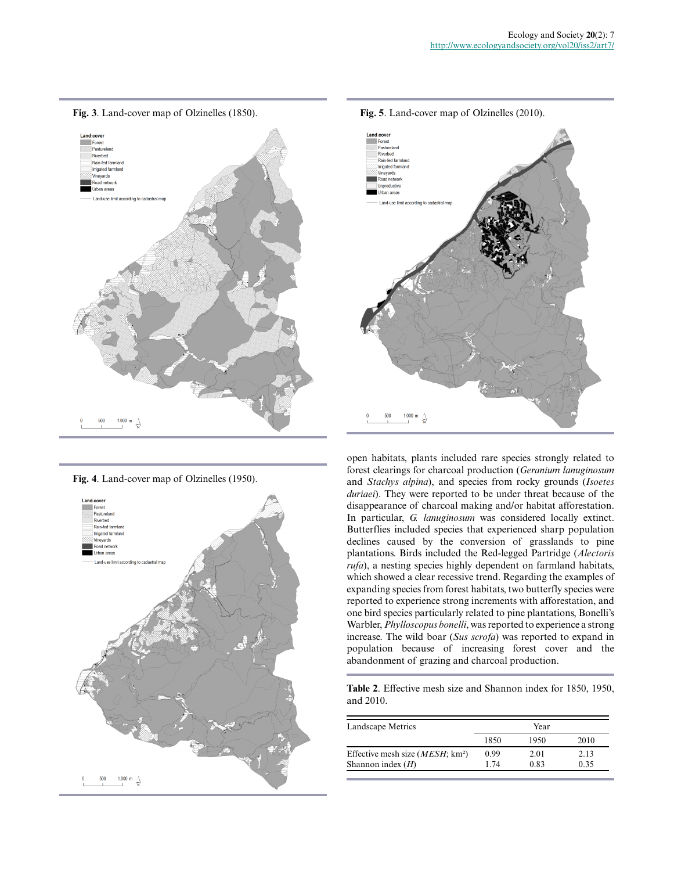

**Fig. 3**. Land-cover map of Olzinelles (1850).

**Fig. 4**. Land-cover map of Olzinelles (1950).





disappearance of charcoal making and/or habitat afforestation. In particular, *G. lanuginosum* was considered locally extinct. Butterflies included species that experienced sharp population declines caused by the conversion of grasslands to pine plantations. Birds included the Red-legged Partridge (*Alectoris rufa*), a nesting species highly dependent on farmland habitats, which showed a clear recessive trend. Regarding the examples of expanding species from forest habitats, two butterfly species were

open habitats, plants included rare species strongly related to forest clearings for charcoal production (*Geranium lanuginosum* and *Stachys alpina*), and species from rocky grounds (*Isoetes duriaei*). They were reported to be under threat because of the

reported to experience strong increments with afforestation, and one bird species particularly related to pine plantations, Bonelli's Warbler, *Phylloscopus bonelli*, was reported to experience a strong increase. The wild boar (*Sus scrofa*) was reported to expand in population because of increasing forest cover and the abandonment of grazing and charcoal production.

**Table 2**. Effective mesh size and Shannon index for 1850, 1950, and 2010.

| Landscape Metrics                 |      | Year |      |
|-----------------------------------|------|------|------|
|                                   | 1850 | 1950 | 2010 |
| Effective mesh size $(MESH; km2)$ | 0.99 | 2.01 | 2.13 |
| Shannon index $(H)$               | 1 74 | 0.83 | 0.35 |

**Fig. 5**. Land-cover map of Olzinelles (2010).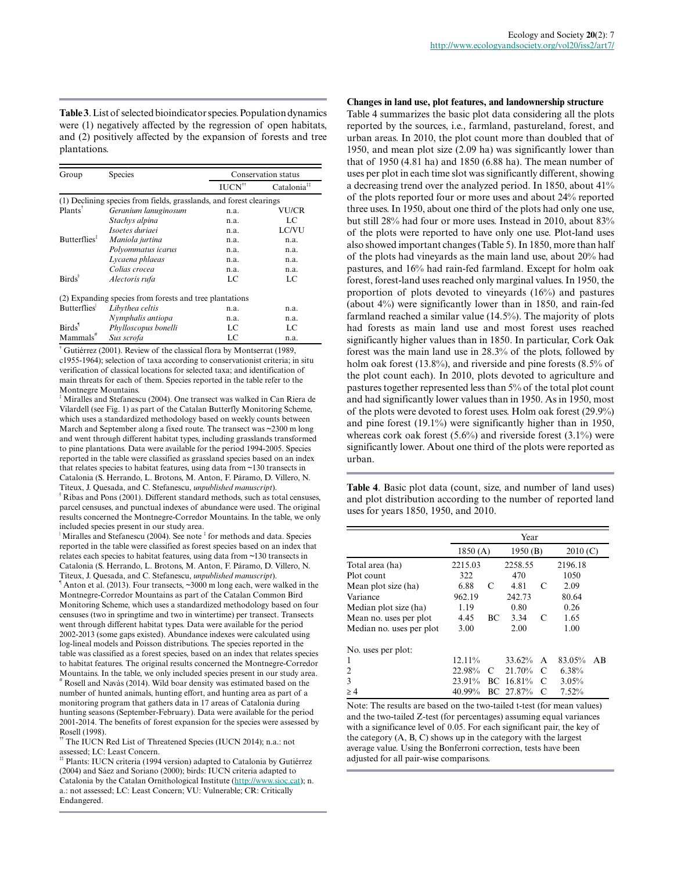**Table 3**. List of selected bioindicator species. Population dynamics were (1) negatively affected by the regression of open habitats, and (2) positively affected by the expansion of forests and tree plantations.

| Group                         | <b>Species</b>                                                      |                          | Conservation status     |  |  |  |
|-------------------------------|---------------------------------------------------------------------|--------------------------|-------------------------|--|--|--|
|                               |                                                                     | $IUCN^{\dagger \dagger}$ | Catalonia <sup>11</sup> |  |  |  |
|                               | (1) Declining species from fields, grasslands, and forest clearings |                          |                         |  |  |  |
| Plan <sup>†</sup>             | Geranium lanuginosum                                                | n.a.                     | VU/CR                   |  |  |  |
|                               | Stachys alpina                                                      | n.a.                     | LC                      |  |  |  |
|                               | Isoetes duriaei                                                     | n.a.                     | LC/VU                   |  |  |  |
| Butterflies <sup>‡</sup>      | Maniola jurtina                                                     | n.a.                     | n.a.                    |  |  |  |
|                               | Polyommatus icarus                                                  | n.a.                     | n.a.                    |  |  |  |
|                               | Lycaena phlaeas                                                     | n.a.                     | n.a.                    |  |  |  |
|                               | Colias crocea                                                       | n.a.                     | n.a.                    |  |  |  |
| $\text{Birds}^{\S}$           | Alectoris rufa                                                      | LC                       | LC                      |  |  |  |
|                               | (2) Expanding species from forests and tree plantations             |                          |                         |  |  |  |
| Butterflies                   | Libythea celtis                                                     | n.a.                     | n.a.                    |  |  |  |
|                               | Nymphalis antiopa                                                   | n.a.                     | n.a.                    |  |  |  |
| Birds <sup>1</sup>            | Phylloscopus bonelli                                                | LC                       | LC                      |  |  |  |
| $M$ ammals $\stackrel{\#}{ }$ | Sus scrofa                                                          | LC                       | nа                      |  |  |  |

† Gutiérrez (2001). Review of the classical flora by Montserrat (1989, c1955-1964); selection of taxa according to conservationist criteria; in situ verification of classical locations for selected taxa; and identification of main threats for each of them. Species reported in the table refer to the Montnegre Mountains.

‡ Miralles and Stefanescu (2004). One transect was walked in Can Riera de Vilardell (see Fig. 1) as part of the Catalan Butterfly Monitoring Scheme, which uses a standardized methodology based on weekly counts between March and September along a fixed route. The transect was ~2300 m long and went through different habitat types, including grasslands transformed to pine plantations. Data were available for the period 1994-2005. Species reported in the table were classified as grassland species based on an index that relates species to habitat features, using data from ~130 transects in Catalonia (S. Herrando, L. Brotons, M. Anton, F. Páramo, D. Villero, N. Titeux, J. Quesada, and C. Stefanescu, *unpublished manuscript*).

§ Ribas and Pons (2001). Different standard methods, such as total censuses, parcel censuses, and punctual indexes of abundance were used. The original results concerned the Montnegre-Corredor Mountains. In the table, we only included species present in our study area.

Miralles and Stefanescu (2004). See note  $\frac{1}{3}$  for methods and data. Species reported in the table were classified as forest species based on an index that relates each species to habitat features, using data from ~130 transects in Catalonia (S. Herrando, L. Brotons, M. Anton, F. Páramo, D. Villero, N.

Titeux, J. Quesada, and C. Stefanescu, *unpublished manuscript*). ¶ Anton et al. (2013). Four transects, ~3000 m long each, were walked in the Montnegre-Corredor Mountains as part of the Catalan Common Bird Monitoring Scheme, which uses a standardized methodology based on four censuses (two in springtime and two in wintertime) per transect. Transects went through different habitat types. Data were available for the period 2002-2013 (some gaps existed). Abundance indexes were calculated using log-lineal models and Poisson distributions. The species reported in the table was classified as a forest species, based on an index that relates species to habitat features. The original results concerned the Montnegre-Corredor Mountains. In the table, we only included species present in our study area. # Rosell and Navàs (2014). Wild boar density was estimated based on the number of hunted animals, hunting effort, and hunting area as part of a monitoring program that gathers data in 17 areas of Catalonia during hunting seasons (September-February). Data were available for the period 2001-2014. The benefits of forest expansion for the species were assessed by Rosell (1998).

†† The IUCN Red List of Threatened Species (IUCN 2014); n.a.: not assessed; LC: Least Concern.

Plants: IUCN criteria (1994 version) adapted to Catalonia by Gutiérrez (2004) and Sáez and Soriano (2000); birds: IUCN criteria adapted to Catalonia by the Catalan Ornithological Institute ([http://www.sioc.cat\)](http://www.sioc.cat); n. a.: not assessed; LC: Least Concern; VU: Vulnerable; CR: Critically Endangered.

# **Changes in land use, plot features, and landownership structure**

Table 4 summarizes the basic plot data considering all the plots reported by the sources, i.e., farmland, pastureland, forest, and urban areas. In 2010, the plot count more than doubled that of 1950, and mean plot size (2.09 ha) was significantly lower than that of 1950 (4.81 ha) and 1850 (6.88 ha). The mean number of uses per plot in each time slot was significantly different, showing a decreasing trend over the analyzed period. In 1850, about 41% of the plots reported four or more uses and about 24% reported three uses. In 1950, about one third of the plots had only one use, but still 28% had four or more uses. Instead in 2010, about 83% of the plots were reported to have only one use. Plot-land uses also showed important changes (Table 5). In 1850, more than half of the plots had vineyards as the main land use, about 20% had pastures, and 16% had rain-fed farmland. Except for holm oak forest, forest-land uses reached only marginal values. In 1950, the proportion of plots devoted to vineyards (16%) and pastures (about 4%) were significantly lower than in 1850, and rain-fed farmland reached a similar value (14.5%). The majority of plots had forests as main land use and most forest uses reached significantly higher values than in 1850. In particular, Cork Oak forest was the main land use in 28.3% of the plots, followed by holm oak forest (13.8%), and riverside and pine forests (8.5% of the plot count each). In 2010, plots devoted to agriculture and pastures together represented less than 5% of the total plot count and had significantly lower values than in 1950. As in 1950, most of the plots were devoted to forest uses. Holm oak forest (29.9%) and pine forest (19.1%) were significantly higher than in 1950, whereas cork oak forest  $(5.6\%)$  and riverside forest  $(3.1\%)$  were significantly lower. About one third of the plots were reported as urban.

**Table 4**. Basic plot data (count, size, and number of land uses) and plot distribution according to the number of reported land uses for years 1850, 1950, and 2010.

|                          |         |         | Year        |         |         |         |
|--------------------------|---------|---------|-------------|---------|---------|---------|
|                          |         | 1850(A) |             | 1950(B) |         | 2010(C) |
| Total area (ha)          | 2215.03 |         | 2258.55     |         | 2196.18 |         |
| Plot count               | 322     |         | 470         |         | 1050    |         |
| Mean plot size (ha)      | 6.88    | C       | 4.81        | C       | 2.09    |         |
| Variance                 | 962.19  |         | 242.73      |         | 80.64   |         |
| Median plot size (ha)    | 1.19    |         | 0.80        |         | 0.26    |         |
| Mean no. uses per plot   | 4.45    | BС      | 3.34        | C       | 1.65    |         |
| Median no. uses per plot | 3.00    |         | 2.00        |         | 1.00    |         |
| No. uses per plot:       |         |         |             |         |         |         |
| 1                        | 12.11%  |         | 33.62%      | A       | 83.05%  | AB      |
| $\overline{2}$           | 22.98%  | C       | 21.70%      | C       | 6.38%   |         |
| 3                        | 23.91%  |         | $BC$ 16.81% | C       | 3.05%   |         |
| $\geq 4$                 | 40.99%  |         | BC 27.87%   | C       | 7.52%   |         |

Note: The results are based on the two-tailed t-test (for mean values) and the two-tailed Z-test (for percentages) assuming equal variances with a significance level of 0.05. For each significant pair, the key of the category (A, B, C) shows up in the category with the largest average value. Using the Bonferroni correction, tests have been adjusted for all pair-wise comparisons.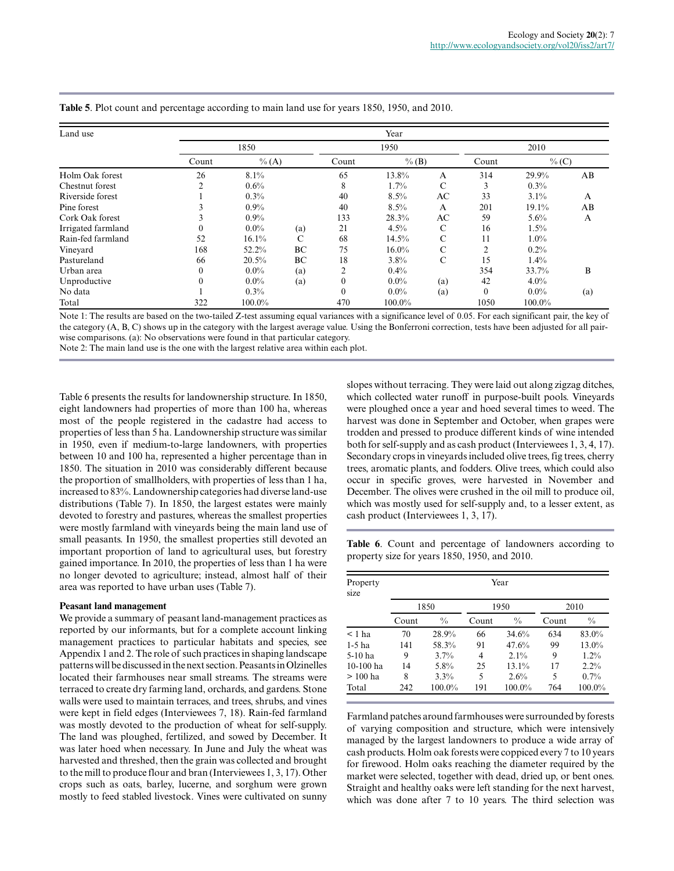| Land use           |               |         |     |                  | Year     |     |          |         |     |
|--------------------|---------------|---------|-----|------------------|----------|-----|----------|---------|-----|
|                    |               | 1850    |     |                  | 1950     |     |          | 2010    |     |
|                    | Count         | % (A)   |     | Count            | $\%$ (B) |     | Count    | % (C)   |     |
| Holm Oak forest    | 26            | 8.1%    |     | 65               | 13.8%    | А   | 314      | 29.9%   | AB  |
| Chestnut forest    | $\mathcal{L}$ | 0.6%    |     | 8                | 1.7%     | C   | 3        | 0.3%    |     |
| Riverside forest   |               | $0.3\%$ |     | 40               | 8.5%     | AC  | 33       | $3.1\%$ | A   |
| Pine forest        |               | 0.9%    |     | 40               | 8.5%     | A   | 201      | 19.1%   | AB  |
| Cork Oak forest    |               | $0.9\%$ |     | 133              | 28.3%    | AC  | 59       | 5.6%    | A   |
| Irrigated farmland | $\theta$      | $0.0\%$ | (a) | 21               | $4.5\%$  | C   | 16       | 1.5%    |     |
| Rain-fed farmland  | 52            | 16.1%   | C   | 68               | 14.5%    | C   | 11       | $1.0\%$ |     |
| Vineyard           | 168           | 52.2%   | BC  | 75               | $16.0\%$ | C   | 2        | 0.2%    |     |
| Pastureland        | 66            | 20.5%   | BC  | 18               | $3.8\%$  | C   | 15       | 1.4%    |     |
| Urban area         | $\theta$      | $0.0\%$ | (a) | 2                | $0.4\%$  |     | 354      | 33.7%   | B   |
| Unproductive       | $\theta$      | $0.0\%$ | (a) | $\boldsymbol{0}$ | $0.0\%$  | (a) | 42       | $4.0\%$ |     |
| No data            |               | 0.3%    |     | $\theta$         | $0.0\%$  | (a) | $\theta$ | $0.0\%$ | (a) |
| Total              | 322           | 100.0%  |     | 470              | 100.0%   |     | 1050     | 100.0%  |     |

**Table 5**. Plot count and percentage according to main land use for years 1850, 1950, and 2010.

Note 1: The results are based on the two-tailed Z-test assuming equal variances with a significance level of 0.05. For each significant pair, the key of the category (A, B, C) shows up in the category with the largest average value. Using the Bonferroni correction, tests have been adjusted for all pairwise comparisons. (a): No observations were found in that particular category.

Note 2: The main land use is the one with the largest relative area within each plot.

Table 6 presents the results for landownership structure. In 1850, eight landowners had properties of more than 100 ha, whereas most of the people registered in the cadastre had access to properties of less than 5 ha. Landownership structure was similar in 1950, even if medium-to-large landowners, with properties between 10 and 100 ha, represented a higher percentage than in 1850. The situation in 2010 was considerably different because the proportion of smallholders, with properties of less than 1 ha, increased to 83%. Landownership categories had diverse land-use distributions (Table 7). In 1850, the largest estates were mainly devoted to forestry and pastures, whereas the smallest properties were mostly farmland with vineyards being the main land use of small peasants. In 1950, the smallest properties still devoted an important proportion of land to agricultural uses, but forestry gained importance. In 2010, the properties of less than 1 ha were no longer devoted to agriculture; instead, almost half of their area was reported to have urban uses (Table 7).

#### **Peasant land management**

We provide a summary of peasant land-management practices as reported by our informants, but for a complete account linking management practices to particular habitats and species, see Appendix 1 and 2. The role of such practices in shaping landscape patterns will be discussed in the next section. Peasants in Olzinelles located their farmhouses near small streams. The streams were terraced to create dry farming land, orchards, and gardens. Stone walls were used to maintain terraces, and trees, shrubs, and vines were kept in field edges (Interviewees 7, 18). Rain-fed farmland was mostly devoted to the production of wheat for self-supply. The land was ploughed, fertilized, and sowed by December. It was later hoed when necessary. In June and July the wheat was harvested and threshed, then the grain was collected and brought to the mill to produce flour and bran (Interviewees 1, 3, 17). Other crops such as oats, barley, lucerne, and sorghum were grown mostly to feed stabled livestock. Vines were cultivated on sunny

slopes without terracing. They were laid out along zigzag ditches, which collected water runoff in purpose-built pools. Vineyards were ploughed once a year and hoed several times to weed. The harvest was done in September and October, when grapes were trodden and pressed to produce different kinds of wine intended both for self-supply and as cash product (Interviewees 1, 3, 4, 17). Secondary crops in vineyards included olive trees, fig trees, cherry trees, aromatic plants, and fodders. Olive trees, which could also occur in specific groves, were harvested in November and December. The olives were crushed in the oil mill to produce oil, which was mostly used for self-supply and, to a lesser extent, as cash product (Interviewees 1, 3, 17).

**Table 6**. Count and percentage of landowners according to property size for years 1850, 1950, and 2010.

| Property<br>size |       |               |       | Year          |       |               |
|------------------|-------|---------------|-------|---------------|-------|---------------|
|                  |       | 1850          |       | 1950          |       | 2010          |
|                  | Count | $\frac{0}{0}$ | Count | $\frac{0}{0}$ | Count | $\frac{0}{0}$ |
| < 1 ha           | 70    | 28.9%         | 66    | 34.6%         | 634   | 83.0%         |
| 1-5 ha           | 141   | 58.3%         | 91    | 47.6%         | 99    | 13.0%         |
| 5-10 ha          | 9     | $3.7\%$       | 4     | $2.1\%$       | 9     | $1.2\%$       |
| $10-100$ ha      | 14    | 5.8%          | 25    | 13.1%         | 17    | $2.2\%$       |
| $>100$ ha        | 8     | $3.3\%$       | 5     | 2.6%          | 5     | $0.7\%$       |
| Total            | 242   | 100.0%        | 191   | 100.0%        | 764   | 100.0%        |

Farmland patches around farmhouses were surrounded by forests of varying composition and structure, which were intensively managed by the largest landowners to produce a wide array of cash products. Holm oak forests were coppiced every 7 to 10 years for firewood. Holm oaks reaching the diameter required by the market were selected, together with dead, dried up, or bent ones. Straight and healthy oaks were left standing for the next harvest, which was done after 7 to 10 years. The third selection was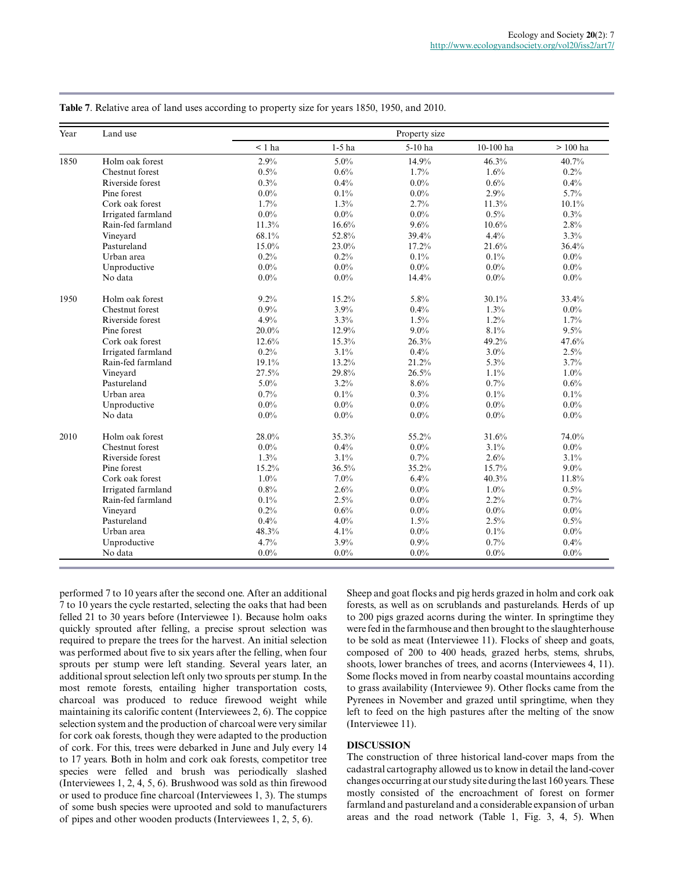| Year | Land use           |          |          | Property size |           |           |
|------|--------------------|----------|----------|---------------|-----------|-----------|
|      |                    | $< 1$ ha | $1-5$ ha | 5-10 ha       | 10-100 ha | $>100$ ha |
| 1850 | Holm oak forest    | 2.9%     | 5.0%     | 14.9%         | 46.3%     | 40.7%     |
|      | Chestnut forest    | 0.5%     | 0.6%     | 1.7%          | 1.6%      | 0.2%      |
|      | Riverside forest   | 0.3%     | 0.4%     | $0.0\%$       | 0.6%      | 0.4%      |
|      | Pine forest        | 0.0%     | 0.1%     | 0.0%          | 2.9%      | 5.7%      |
|      | Cork oak forest    | 1.7%     | 1.3%     | 2.7%          | 11.3%     | 10.1%     |
|      | Irrigated farmland | $0.0\%$  | $0.0\%$  | $0.0\%$       | 0.5%      | 0.3%      |
|      | Rain-fed farmland  | 11.3%    | 16.6%    | 9.6%          | 10.6%     | 2.8%      |
|      | Vineyard           | 68.1%    | 52.8%    | 39.4%         | 4.4%      | 3.3%      |
|      | Pastureland        | 15.0%    | 23.0%    | 17.2%         | 21.6%     | 36.4%     |
|      | Urban area         | 0.2%     | 0.2%     | 0.1%          | 0.1%      | $0.0\%$   |
|      | Unproductive       | 0.0%     | $0.0\%$  | 0.0%          | $0.0\%$   | $0.0\%$   |
|      | No data            | 0.0%     | $0.0\%$  | 14.4%         | $0.0\%$   | $0.0\%$   |
| 1950 | Holm oak forest    | 9.2%     | 15.2%    | 5.8%          | 30.1%     | 33.4%     |
|      | Chestnut forest    | 0.9%     | 3.9%     | 0.4%          | 1.3%      | 0.0%      |
|      | Riverside forest   | 4.9%     | 3.3%     | 1.5%          | 1.2%      | 1.7%      |
|      | Pine forest        | 20.0%    | 12.9%    | $9.0\%$       | 8.1%      | 9.5%      |
|      | Cork oak forest    | 12.6%    | 15.3%    | 26.3%         | 49.2%     | 47.6%     |
|      | Irrigated farmland | 0.2%     | 3.1%     | 0.4%          | $3.0\%$   | 2.5%      |
|      | Rain-fed farmland  | 19.1%    | 13.2%    | 21.2%         | 5.3%      | 3.7%      |
|      | Vineyard           | 27.5%    | 29.8%    | 26.5%         | 1.1%      | 1.0%      |
|      | Pastureland        | 5.0%     | 3.2%     | 8.6%          | 0.7%      | 0.6%      |
|      | Urban area         | 0.7%     | 0.1%     | 0.3%          | 0.1%      | 0.1%      |
|      | Unproductive       | 0.0%     | $0.0\%$  | $0.0\%$       | $0.0\%$   | $0.0\%$   |
|      | No data            | $0.0\%$  | $0.0\%$  | $0.0\%$       | $0.0\%$   | $0.0\%$   |
| 2010 | Holm oak forest    | 28.0%    | 35.3%    | 55.2%         | 31.6%     | 74.0%     |
|      | Chestnut forest    | $0.0\%$  | 0.4%     | 0.0%          | 3.1%      | $0.0\%$   |
|      | Riverside forest   | 1.3%     | 3.1%     | 0.7%          | 2.6%      | 3.1%      |
|      | Pine forest        | 15.2%    | 36.5%    | 35.2%         | 15.7%     | $9.0\%$   |
|      | Cork oak forest    | 1.0%     | $7.0\%$  | 6.4%          | 40.3%     | 11.8%     |
|      | Irrigated farmland | 0.8%     | 2.6%     | $0.0\%$       | 1.0%      | 0.5%      |
|      | Rain-fed farmland  | 0.1%     | 2.5%     | $0.0\%$       | 2.2%      | 0.7%      |
|      | Vineyard           | 0.2%     | 0.6%     | $0.0\%$       | $0.0\%$   | $0.0\%$   |
|      | Pastureland        | 0.4%     | 4.0%     | 1.5%          | 2.5%      | 0.5%      |
|      | Urban area         | 48.3%    | 4.1%     | $0.0\%$       | 0.1%      | 0.0%      |
|      | Unproductive       | 4.7%     | 3.9%     | 0.9%          | 0.7%      | 0.4%      |
|      | No data            | $0.0\%$  | $0.0\%$  | $0.0\%$       | $0.0\%$   | 0.0%      |

**Table 7**. Relative area of land uses according to property size for years 1850, 1950, and 2010.

performed 7 to 10 years after the second one. After an additional 7 to 10 years the cycle restarted, selecting the oaks that had been felled 21 to 30 years before (Interviewee 1). Because holm oaks quickly sprouted after felling, a precise sprout selection was required to prepare the trees for the harvest. An initial selection was performed about five to six years after the felling, when four sprouts per stump were left standing. Several years later, an additional sprout selection left only two sprouts per stump. In the most remote forests, entailing higher transportation costs, charcoal was produced to reduce firewood weight while maintaining its calorific content (Interviewees 2, 6). The coppice selection system and the production of charcoal were very similar for cork oak forests, though they were adapted to the production of cork. For this, trees were debarked in June and July every 14 to 17 years. Both in holm and cork oak forests, competitor tree species were felled and brush was periodically slashed (Interviewees 1, 2, 4, 5, 6). Brushwood was sold as thin firewood or used to produce fine charcoal (Interviewees 1, 3). The stumps of some bush species were uprooted and sold to manufacturers of pipes and other wooden products (Interviewees 1, 2, 5, 6).

Sheep and goat flocks and pig herds grazed in holm and cork oak forests, as well as on scrublands and pasturelands. Herds of up to 200 pigs grazed acorns during the winter. In springtime they were fed in the farmhouse and then brought to the slaughterhouse to be sold as meat (Interviewee 11). Flocks of sheep and goats, composed of 200 to 400 heads, grazed herbs, stems, shrubs, shoots, lower branches of trees, and acorns (Interviewees 4, 11). Some flocks moved in from nearby coastal mountains according to grass availability (Interviewee 9). Other flocks came from the Pyrenees in November and grazed until springtime, when they left to feed on the high pastures after the melting of the snow (Interviewee 11).

# **DISCUSSION**

The construction of three historical land-cover maps from the cadastral cartography allowed us to know in detail the land-cover changes occurring at our study site during the last 160 years. These mostly consisted of the encroachment of forest on former farmland and pastureland and a considerable expansion of urban areas and the road network (Table 1, Fig. 3, 4, 5). When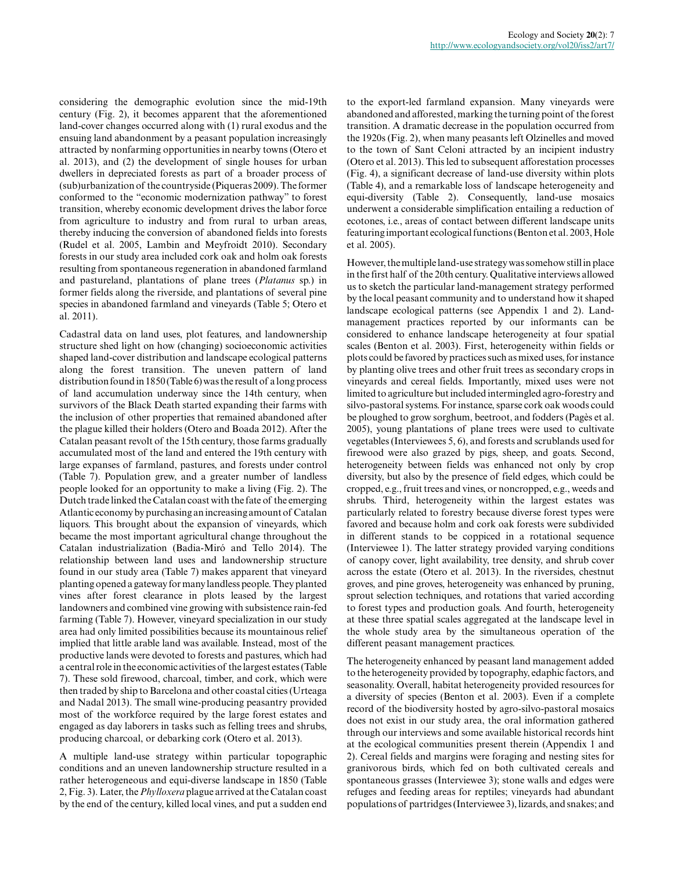considering the demographic evolution since the mid-19th century (Fig. 2), it becomes apparent that the aforementioned land-cover changes occurred along with (1) rural exodus and the ensuing land abandonment by a peasant population increasingly attracted by nonfarming opportunities in nearby towns (Otero et al. 2013), and (2) the development of single houses for urban dwellers in depreciated forests as part of a broader process of (sub)urbanization of the countryside (Piqueras 2009). The former conformed to the "economic modernization pathway" to forest transition, whereby economic development drives the labor force from agriculture to industry and from rural to urban areas, thereby inducing the conversion of abandoned fields into forests (Rudel et al. 2005, Lambin and Meyfroidt 2010). Secondary forests in our study area included cork oak and holm oak forests resulting from spontaneous regeneration in abandoned farmland and pastureland, plantations of plane trees (*Platanus* sp.) in former fields along the riverside, and plantations of several pine species in abandoned farmland and vineyards (Table 5; Otero et al. 2011).

Cadastral data on land uses, plot features, and landownership structure shed light on how (changing) socioeconomic activities shaped land-cover distribution and landscape ecological patterns along the forest transition. The uneven pattern of land distribution found in 1850 (Table 6) was the result of a long process of land accumulation underway since the 14th century, when survivors of the Black Death started expanding their farms with the inclusion of other properties that remained abandoned after the plague killed their holders (Otero and Boada 2012). After the Catalan peasant revolt of the 15th century, those farms gradually accumulated most of the land and entered the 19th century with large expanses of farmland, pastures, and forests under control (Table 7). Population grew, and a greater number of landless people looked for an opportunity to make a living (Fig. 2). The Dutch trade linked the Catalan coast with the fate of the emerging Atlantic economy by purchasing an increasing amount of Catalan liquors. This brought about the expansion of vineyards, which became the most important agricultural change throughout the Catalan industrialization (Badia-Miró and Tello 2014). The relationship between land uses and landownership structure found in our study area (Table 7) makes apparent that vineyard planting opened a gateway for many landless people. They planted vines after forest clearance in plots leased by the largest landowners and combined vine growing with subsistence rain-fed farming (Table 7). However, vineyard specialization in our study area had only limited possibilities because its mountainous relief implied that little arable land was available. Instead, most of the productive lands were devoted to forests and pastures, which had a central role in the economic activities of the largest estates (Table 7). These sold firewood, charcoal, timber, and cork, which were then traded by ship to Barcelona and other coastal cities (Urteaga and Nadal 2013). The small wine-producing peasantry provided most of the workforce required by the large forest estates and engaged as day laborers in tasks such as felling trees and shrubs, producing charcoal, or debarking cork (Otero et al. 2013).

A multiple land-use strategy within particular topographic conditions and an uneven landownership structure resulted in a rather heterogeneous and equi-diverse landscape in 1850 (Table 2, Fig. 3). Later, the *Phylloxera* plague arrived at the Catalan coast by the end of the century, killed local vines, and put a sudden end to the export-led farmland expansion. Many vineyards were abandoned and afforested, marking the turning point of the forest transition. A dramatic decrease in the population occurred from the 1920s (Fig. 2), when many peasants left Olzinelles and moved to the town of Sant Celoni attracted by an incipient industry (Otero et al. 2013). This led to subsequent afforestation processes (Fig. 4), a significant decrease of land-use diversity within plots (Table 4), and a remarkable loss of landscape heterogeneity and equi-diversity (Table 2). Consequently, land-use mosaics underwent a considerable simplification entailing a reduction of ecotones, i.e., areas of contact between different landscape units featuring important ecological functions (Benton et al. 2003, Hole et al. 2005).

However, the multiple land-use strategy was somehow still in place in the first half of the 20th century. Qualitative interviews allowed us to sketch the particular land-management strategy performed by the local peasant community and to understand how it shaped landscape ecological patterns (see Appendix 1 and 2). Landmanagement practices reported by our informants can be considered to enhance landscape heterogeneity at four spatial scales (Benton et al. 2003). First, heterogeneity within fields or plots could be favored by practices such as mixed uses, for instance by planting olive trees and other fruit trees as secondary crops in vineyards and cereal fields. Importantly, mixed uses were not limited to agriculture but included intermingled agro-forestry and silvo-pastoral systems. For instance, sparse cork oak woods could be ploughed to grow sorghum, beetroot, and fodders (Pagès et al. 2005), young plantations of plane trees were used to cultivate vegetables (Interviewees 5, 6), and forests and scrublands used for firewood were also grazed by pigs, sheep, and goats. Second, heterogeneity between fields was enhanced not only by crop diversity, but also by the presence of field edges, which could be cropped, e.g., fruit trees and vines, or noncropped, e.g., weeds and shrubs. Third, heterogeneity within the largest estates was particularly related to forestry because diverse forest types were favored and because holm and cork oak forests were subdivided in different stands to be coppiced in a rotational sequence (Interviewee 1). The latter strategy provided varying conditions of canopy cover, light availability, tree density, and shrub cover across the estate (Otero et al. 2013). In the riversides, chestnut groves, and pine groves, heterogeneity was enhanced by pruning, sprout selection techniques, and rotations that varied according to forest types and production goals. And fourth, heterogeneity at these three spatial scales aggregated at the landscape level in the whole study area by the simultaneous operation of the different peasant management practices.

The heterogeneity enhanced by peasant land management added to the heterogeneity provided by topography, edaphic factors, and seasonality. Overall, habitat heterogeneity provided resources for a diversity of species (Benton et al. 2003). Even if a complete record of the biodiversity hosted by agro-silvo-pastoral mosaics does not exist in our study area, the oral information gathered through our interviews and some available historical records hint at the ecological communities present therein (Appendix 1 and 2). Cereal fields and margins were foraging and nesting sites for granivorous birds, which fed on both cultivated cereals and spontaneous grasses (Interviewee 3); stone walls and edges were refuges and feeding areas for reptiles; vineyards had abundant populations of partridges (Interviewee 3), lizards, and snakes; and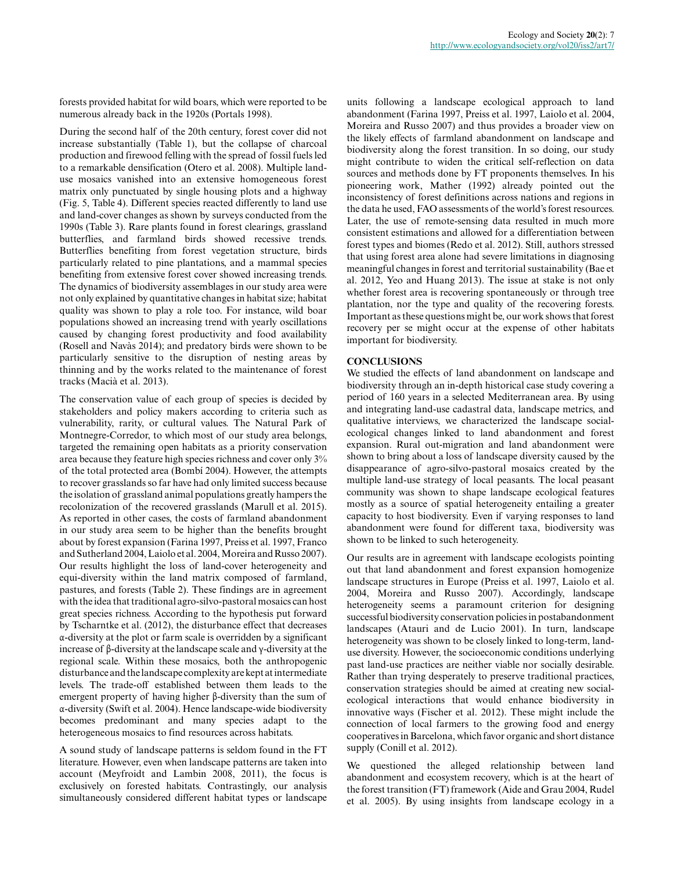forests provided habitat for wild boars, which were reported to be numerous already back in the 1920s (Portals 1998).

During the second half of the 20th century, forest cover did not increase substantially (Table 1), but the collapse of charcoal production and firewood felling with the spread of fossil fuels led to a remarkable densification (Otero et al. 2008). Multiple landuse mosaics vanished into an extensive homogeneous forest matrix only punctuated by single housing plots and a highway (Fig. 5, Table 4). Different species reacted differently to land use and land-cover changes as shown by surveys conducted from the 1990s (Table 3). Rare plants found in forest clearings, grassland butterflies, and farmland birds showed recessive trends. Butterflies benefiting from forest vegetation structure, birds particularly related to pine plantations, and a mammal species benefiting from extensive forest cover showed increasing trends. The dynamics of biodiversity assemblages in our study area were not only explained by quantitative changes in habitat size; habitat quality was shown to play a role too. For instance, wild boar populations showed an increasing trend with yearly oscillations caused by changing forest productivity and food availability (Rosell and Navàs 2014); and predatory birds were shown to be particularly sensitive to the disruption of nesting areas by thinning and by the works related to the maintenance of forest tracks (Macià et al. 2013).

The conservation value of each group of species is decided by stakeholders and policy makers according to criteria such as vulnerability, rarity, or cultural values. The Natural Park of Montnegre-Corredor, to which most of our study area belongs, targeted the remaining open habitats as a priority conservation area because they feature high species richness and cover only 3% of the total protected area (Bombí 2004). However, the attempts to recover grasslands so far have had only limited success because the isolation of grassland animal populations greatly hampers the recolonization of the recovered grasslands (Marull et al. 2015). As reported in other cases, the costs of farmland abandonment in our study area seem to be higher than the benefits brought about by forest expansion (Farina 1997, Preiss et al. 1997, Franco and Sutherland 2004, Laiolo et al. 2004, Moreira and Russo 2007). Our results highlight the loss of land-cover heterogeneity and equi-diversity within the land matrix composed of farmland, pastures, and forests (Table 2). These findings are in agreement with the idea that traditional agro-silvo-pastoral mosaics can host great species richness. According to the hypothesis put forward by Tscharntke et al. (2012), the disturbance effect that decreases α-diversity at the plot or farm scale is overridden by a significant increase of β-diversity at the landscape scale and γ-diversity at the regional scale. Within these mosaics, both the anthropogenic disturbance and the landscape complexity are kept at intermediate levels. The trade-off established between them leads to the emergent property of having higher β-diversity than the sum of α-diversity (Swift et al. 2004). Hence landscape-wide biodiversity becomes predominant and many species adapt to the heterogeneous mosaics to find resources across habitats.

A sound study of landscape patterns is seldom found in the FT literature. However, even when landscape patterns are taken into account (Meyfroidt and Lambin 2008, 2011), the focus is exclusively on forested habitats. Contrastingly, our analysis simultaneously considered different habitat types or landscape

units following a landscape ecological approach to land abandonment (Farina 1997, Preiss et al. 1997, Laiolo et al. 2004, Moreira and Russo 2007) and thus provides a broader view on the likely effects of farmland abandonment on landscape and biodiversity along the forest transition. In so doing, our study might contribute to widen the critical self-reflection on data sources and methods done by FT proponents themselves. In his pioneering work, Mather (1992) already pointed out the inconsistency of forest definitions across nations and regions in the data he used, FAO assessments of the world's forest resources. Later, the use of remote-sensing data resulted in much more consistent estimations and allowed for a differentiation between forest types and biomes (Redo et al. 2012). Still, authors stressed that using forest area alone had severe limitations in diagnosing meaningful changes in forest and territorial sustainability (Bae et al. 2012, Yeo and Huang 2013). The issue at stake is not only whether forest area is recovering spontaneously or through tree plantation, nor the type and quality of the recovering forests. Important as these questions might be, our work shows that forest recovery per se might occur at the expense of other habitats important for biodiversity.

# **CONCLUSIONS**

We studied the effects of land abandonment on landscape and biodiversity through an in-depth historical case study covering a period of 160 years in a selected Mediterranean area. By using and integrating land-use cadastral data, landscape metrics, and qualitative interviews, we characterized the landscape socialecological changes linked to land abandonment and forest expansion. Rural out-migration and land abandonment were shown to bring about a loss of landscape diversity caused by the disappearance of agro-silvo-pastoral mosaics created by the multiple land-use strategy of local peasants. The local peasant community was shown to shape landscape ecological features mostly as a source of spatial heterogeneity entailing a greater capacity to host biodiversity. Even if varying responses to land abandonment were found for different taxa, biodiversity was shown to be linked to such heterogeneity.

Our results are in agreement with landscape ecologists pointing out that land abandonment and forest expansion homogenize landscape structures in Europe (Preiss et al. 1997, Laiolo et al. 2004, Moreira and Russo 2007). Accordingly, landscape heterogeneity seems a paramount criterion for designing successful biodiversity conservation policies in postabandonment landscapes (Atauri and de Lucio 2001). In turn, landscape heterogeneity was shown to be closely linked to long-term, landuse diversity. However, the socioeconomic conditions underlying past land-use practices are neither viable nor socially desirable. Rather than trying desperately to preserve traditional practices, conservation strategies should be aimed at creating new socialecological interactions that would enhance biodiversity in innovative ways (Fischer et al. 2012). These might include the connection of local farmers to the growing food and energy cooperatives in Barcelona, which favor organic and short distance supply (Conill et al. 2012).

We questioned the alleged relationship between land abandonment and ecosystem recovery, which is at the heart of the forest transition (FT) framework (Aide and Grau 2004, Rudel et al. 2005). By using insights from landscape ecology in a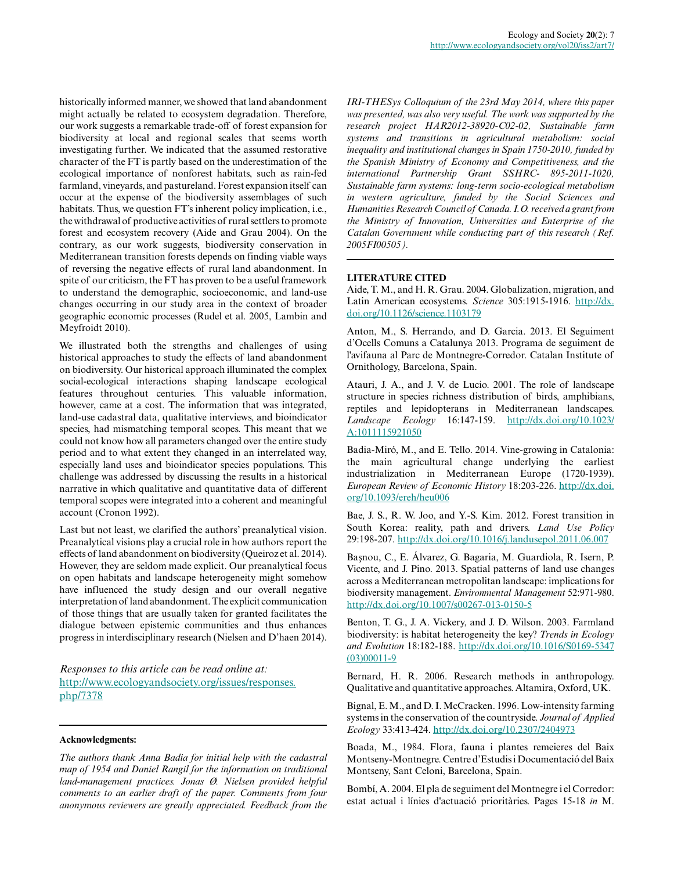historically informed manner, we showed that land abandonment might actually be related to ecosystem degradation. Therefore, our work suggests a remarkable trade-off of forest expansion for biodiversity at local and regional scales that seems worth investigating further. We indicated that the assumed restorative character of the FT is partly based on the underestimation of the ecological importance of nonforest habitats, such as rain-fed farmland, vineyards, and pastureland. Forest expansion itself can occur at the expense of the biodiversity assemblages of such habitats. Thus, we question FT's inherent policy implication, i.e., the withdrawal of productive activities of rural settlers to promote forest and ecosystem recovery (Aide and Grau 2004). On the contrary, as our work suggests, biodiversity conservation in Mediterranean transition forests depends on finding viable ways of reversing the negative effects of rural land abandonment. In spite of our criticism, the FT has proven to be a useful framework to understand the demographic, socioeconomic, and land-use changes occurring in our study area in the context of broader geographic economic processes (Rudel et al. 2005, Lambin and Meyfroidt 2010).

We illustrated both the strengths and challenges of using historical approaches to study the effects of land abandonment on biodiversity. Our historical approach illuminated the complex social-ecological interactions shaping landscape ecological features throughout centuries. This valuable information, however, came at a cost. The information that was integrated, land-use cadastral data, qualitative interviews, and bioindicator species, had mismatching temporal scopes. This meant that we could not know how all parameters changed over the entire study period and to what extent they changed in an interrelated way, especially land uses and bioindicator species populations. This challenge was addressed by discussing the results in a historical narrative in which qualitative and quantitative data of different temporal scopes were integrated into a coherent and meaningful account (Cronon 1992).

Last but not least, we clarified the authors' preanalytical vision. Preanalytical visions play a crucial role in how authors report the effects of land abandonment on biodiversity (Queiroz et al. 2014). However, they are seldom made explicit. Our preanalytical focus on open habitats and landscape heterogeneity might somehow have influenced the study design and our overall negative interpretation of land abandonment. The explicit communication of those things that are usually taken for granted facilitates the dialogue between epistemic communities and thus enhances progress in interdisciplinary research (Nielsen and D'haen 2014).

*Responses to this article can be read online at:* [http://www.ecologyandsociety.org/issues/responses.](http://www.ecologyandsociety.org/issues/responses.php/7378) [php/7378](http://www.ecologyandsociety.org/issues/responses.php/7378)

#### **Acknowledgments:**

*The authors thank Anna Badia for initial help with the cadastral map of 1954 and Daniel Rangil for the information on traditional land-management practices. Jonas Ø. Nielsen provided helpful comments to an earlier draft of the paper. Comments from four anonymous reviewers are greatly appreciated. Feedback from the*

*IRI-THESys Colloquium of the 23rd May 2014, where this paper was presented, was also very useful. The work was supported by the research project HAR2012-38920-C02-02, Sustainable farm systems and transitions in agricultural metabolism: social inequality and institutional changes in Spain 1750-2010, funded by the Spanish Ministry of Economy and Competitiveness, and the international Partnership Grant SSHRC- 895-2011-1020, Sustainable farm systems: long-term socio-ecological metabolism in western agriculture, funded by the Social Sciences and Humanities Research Council of Canada. I.O. received a grant from the Ministry of Innovation, Universities and Enterprise of the Catalan Government while conducting part of this research (Ref. 2005FI00505).*

# **LITERATURE CITED**

Aide, T. M., and H. R. Grau. 2004. Globalization, migration, and Latin American ecosystems. *Science* 305:1915-1916. [http://dx.](http://dx.doi.org/10.1126%2Fscience.1103179) [doi.org/10.1126/science.1103179](http://dx.doi.org/10.1126%2Fscience.1103179)

Anton, M., S. Herrando, and D. Garcia. 2013. El Seguiment d'Ocells Comuns a Catalunya 2013. Programa de seguiment de l'avifauna al Parc de Montnegre-Corredor. Catalan Institute of Ornithology, Barcelona, Spain.

Atauri, J. A., and J. V. de Lucio. 2001. The role of landscape structure in species richness distribution of birds, amphibians, reptiles and lepidopterans in Mediterranean landscapes. *Landscape Ecology* 16:147-159. [http://dx.doi.org/10.1023/](http://dx.doi.org/10.1023%2FA%3A1011115921050) [A:1011115921050](http://dx.doi.org/10.1023%2FA%3A1011115921050) 

Badia-Miró, M., and E. Tello. 2014. Vine-growing in Catalonia: the main agricultural change underlying the earliest industrialization in Mediterranean Europe (1720-1939). *European Review of Economic History* 18:203-226. [http://dx.doi.](http://dx.doi.org/10.1093%2Fereh%2Fheu006) [org/10.1093/ereh/heu006](http://dx.doi.org/10.1093%2Fereh%2Fheu006)

Bae, J. S., R. W. Joo, and Y.-S. Kim. 2012. Forest transition in South Korea: reality, path and drivers. *Land Use Policy* 29:198-207. [http://dx.doi.org/10.1016/j.landusepol.2011.06.007](http://dx.doi.org/10.1016%2Fj.landusepol.2011.06.007) 

Başnou, C., E. Álvarez, G. Bagaria, M. Guardiola, R. Isern, P. Vicente, and J. Pino. 2013. Spatial patterns of land use changes across a Mediterranean metropolitan landscape: implications for biodiversity management. *Environmental Management* 52:971-980. [http://dx.doi.org/10.1007/s00267-013-0150-5](http://dx.doi.org/10.1007%2Fs00267-013-0150-5)

Benton, T. G., J. A. Vickery, and J. D. Wilson. 2003. Farmland biodiversity: is habitat heterogeneity the key? *Trends in Ecology and Evolution* 18:182-188. [http://dx.doi.org/10.1016/S0169-5347](http://dx.doi.org/10.1016%2FS0169-5347%2803%2900011-9) [\(03\)00011-9](http://dx.doi.org/10.1016%2FS0169-5347%2803%2900011-9) 

Bernard, H. R. 2006. Research methods in anthropology. Qualitative and quantitative approaches. Altamira, Oxford, UK.

Bignal, E. M., and D. I. McCracken. 1996. Low-intensity farming systems in the conservation of the countryside. *Journal of Applied Ecology* 33:413-424. [http://dx.doi.org/10.2307/2404973](http://dx.doi.org/10.2307%2F2404973)

Boada, M., 1984. Flora, fauna i plantes remeieres del Baix Montseny-Montnegre. Centre d'Estudis i Documentació del Baix Montseny, Sant Celoni, Barcelona, Spain.

Bombí, A. 2004. El pla de seguiment del Montnegre i el Corredor: estat actual i línies d'actuació prioritàries. Pages 15-18 *in* M.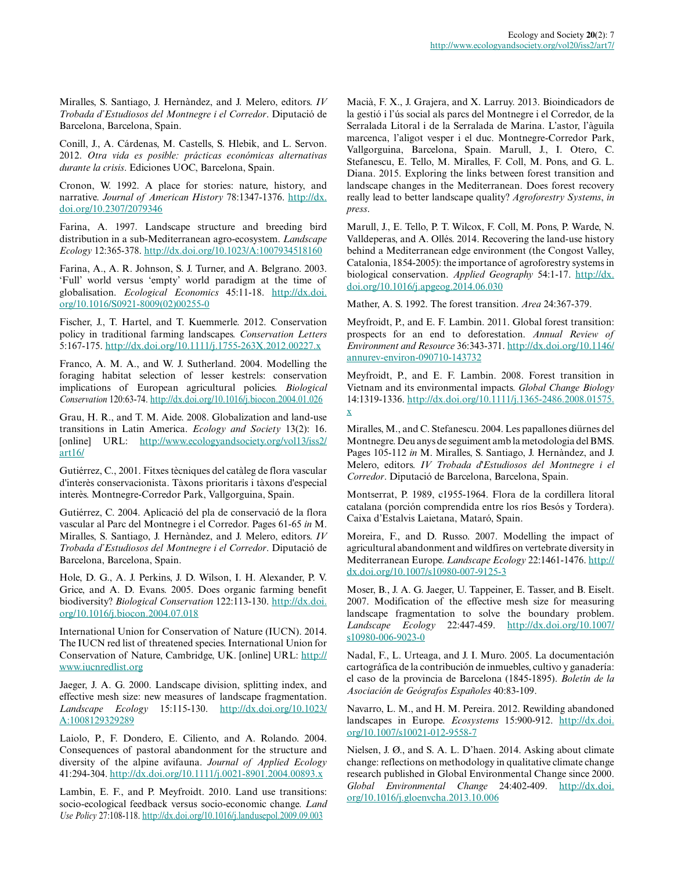Miralles, S. Santiago, J. Hernàndez, and J. Melero, editors. *IV Trobada d'Estudiosos del Montnegre i el Corredor*. Diputació de Barcelona, Barcelona, Spain.

Conill, J., A. Cárdenas, M. Castells, S. Hlebik, and L. Servon. 2012. *Otra vida es posible: prácticas económicas alternativas durante la crisis*. Ediciones UOC, Barcelona, Spain.

Cronon, W. 1992. A place for stories: nature, history, and narrative. *Journal of American History* 78:1347-1376. [http://dx.](http://dx.doi.org/10.2307%2F2079346) [doi.org/10.2307/2079346](http://dx.doi.org/10.2307%2F2079346) 

Farina, A. 1997. Landscape structure and breeding bird distribution in a sub-Mediterranean agro-ecosystem. *Landscape Ecology* 12:365-378. [http://dx.doi.org/10.1023/A:1007934518160](http://dx.doi.org/10.1023%2FA%3A1007934518160) 

Farina, A., A. R. Johnson, S. J. Turner, and A. Belgrano. 2003. 'Full' world versus 'empty' world paradigm at the time of globalisation. *Ecological Economics* 45:11-18. [http://dx.doi.](http://dx.doi.org/10.1016%2FS0921-8009%2802%2900255-0) [org/10.1016/S0921-8009\(02\)00255-0](http://dx.doi.org/10.1016%2FS0921-8009%2802%2900255-0)

Fischer, J., T. Hartel, and T. Kuemmerle. 2012. Conservation policy in traditional farming landscapes. *Conservation Letters* 5:167-175. [http://dx.doi.org/10.1111/j.1755-263X.2012.00227.x](http://dx.doi.org/10.1111%2Fj.1755-263X.2012.00227.x) 

Franco, A. M. A., and W. J. Sutherland. 2004. Modelling the foraging habitat selection of lesser kestrels: conservation implications of European agricultural policies. *Biological Conservation* 120:63-74. [http://dx.doi.org/10.1016/j.biocon.2004.01.026](http://dx.doi.org/10.1016%2Fj.biocon.2004.01.026)

Grau, H. R., and T. M. Aide. 2008. Globalization and land-use transitions in Latin America. *Ecology and Society* 13(2): 16. [online] URL: [http://www.ecologyandsociety.org/vol13/iss2/](http://www.ecologyandsociety.org/vol13/iss2/art16/) [art16/](http://www.ecologyandsociety.org/vol13/iss2/art16/)

Gutiérrez, C., 2001. Fitxes tècniques del catàleg de flora vascular d'interès conservacionista. Tàxons prioritaris i tàxons d'especial interès. Montnegre-Corredor Park, Vallgorguina, Spain.

Gutiérrez, C. 2004. Aplicació del pla de conservació de la flora vascular al Parc del Montnegre i el Corredor. Pages 61-65 *in* M. Miralles, S. Santiago, J. Hernàndez, and J. Melero, editors. *IV Trobada d'Estudiosos del Montnegre i el Corredor*. Diputació de Barcelona, Barcelona, Spain.

Hole, D. G., A. J. Perkins, J. D. Wilson, I. H. Alexander, P. V. Grice, and A. D. Evans. 2005. Does organic farming benefit biodiversity? *Biological Conservation* 122:113-130. [http://dx.doi.](http://dx.doi.org/10.1016%2Fj.biocon.2004.07.018) [org/10.1016/j.biocon.2004.07.018](http://dx.doi.org/10.1016%2Fj.biocon.2004.07.018)

International Union for Conservation of Nature (IUCN). 2014. The IUCN red list of threatened species. International Union for Conservation of Nature, Cambridge, UK. [online] URL: [http://](http://www.iucnredlist.org) [www.iucnredlist.org](http://www.iucnredlist.org) 

Jaeger, J. A. G. 2000. Landscape division, splitting index, and effective mesh size: new measures of landscape fragmentation. *Landscape Ecology* 15:115-130. [http://dx.doi.org/10.1023/](http://dx.doi.org/10.1023%2FA%3A1008129329289) [A:1008129329289](http://dx.doi.org/10.1023%2FA%3A1008129329289) 

Laiolo, P., F. Dondero, E. Ciliento, and A. Rolando. 2004. Consequences of pastoral abandonment for the structure and diversity of the alpine avifauna. *Journal of Applied Ecology* 41:294-304. [http://dx.doi.org/10.1111/j.0021-8901.2004.00893.x](http://dx.doi.org/10.1111%2Fj.0021-8901.2004.00893.x)

Lambin, E. F., and P. Meyfroidt. 2010. Land use transitions: socio-ecological feedback versus socio-economic change. *Land Use Policy* 27:108-118. [http://dx.doi.org/10.1016/j.landusepol.2009.09.003](http://dx.doi.org/10.1016%2Fj.landusepol.2009.09.003)

Macià, F. X., J. Grajera, and X. Larruy. 2013. Bioindicadors de la gestió i l'ús social als parcs del Montnegre i el Corredor, de la Serralada Litoral i de la Serralada de Marina. L'astor, l'àguila marcenca, l'aligot vesper i el duc. Montnegre-Corredor Park, Vallgorguina, Barcelona, Spain. Marull, J., I. Otero, C. Stefanescu, E. Tello, M. Miralles, F. Coll, M. Pons, and G. L. Diana. 2015. Exploring the links between forest transition and landscape changes in the Mediterranean. Does forest recovery really lead to better landscape quality? *Agroforestry Systems*, *in press*.

Marull, J., E. Tello, P. T. Wilcox, F. Coll, M. Pons, P. Warde, N. Valldeperas, and A. Ollés. 2014. Recovering the land-use history behind a Mediterranean edge environment (the Congost Valley, Catalonia, 1854-2005): the importance of agroforestry systems in biological conservation. *Applied Geography* 54:1-17. [http://dx.](http://dx.doi.org/10.1016/j.apgeog.2014.06.030) [doi.org/10.1016/j.apgeog.2014.06.030](http://dx.doi.org/10.1016/j.apgeog.2014.06.030) 

Mather, A. S. 1992. The forest transition. *Area* 24:367-379.

Meyfroidt, P., and E. F. Lambin. 2011. Global forest transition: prospects for an end to deforestation. *Annual Review of Environment and Resource* 36:343-371. [http://dx.doi.org/10.1146/](http://dx.doi.org/10.1146%2Fannurev-environ-090710-143732) [annurev-environ-090710-143732](http://dx.doi.org/10.1146%2Fannurev-environ-090710-143732)

Meyfroidt, P., and E. F. Lambin. 2008. Forest transition in Vietnam and its environmental impacts. *Global Change Biology* 14:1319-1336. [http://dx.doi.org/10.1111/j.1365-2486.2008.01575.](http://dx.doi.org/10.1111%2Fj.1365-2486.2008.01575.x) [x](http://dx.doi.org/10.1111%2Fj.1365-2486.2008.01575.x) 

Miralles, M., and C. Stefanescu. 2004. Les papallones diürnes del Montnegre. Deu anys de seguiment amb la metodologia del BMS. Pages 105-112 *in* M. Miralles, S. Santiago, J. Hernàndez, and J. Melero, editors. *IV Trobada d'Estudiosos del Montnegre i el Corredor*. Diputació de Barcelona, Barcelona, Spain.

Montserrat, P. 1989, c1955-1964. Flora de la cordillera litoral catalana (porción comprendida entre los ríos Besós y Tordera). Caixa d'Estalvis Laietana, Mataró, Spain.

Moreira, F., and D. Russo. 2007. Modelling the impact of agricultural abandonment and wildfires on vertebrate diversity in Mediterranean Europe. *Landscape Ecology* 22:1461-1476. [http://](http://dx.doi.org/10.1007%2Fs10980-007-9125-3) [dx.doi.org/10.1007/s10980-007-9125-3](http://dx.doi.org/10.1007%2Fs10980-007-9125-3) 

Moser, B., J. A. G. Jaeger, U. Tappeiner, E. Tasser, and B. Eiselt. 2007. Modification of the effective mesh size for measuring landscape fragmentation to solve the boundary problem. *Landscape Ecology* 22:447-459. [http://dx.doi.org/10.1007/](http://dx.doi.org/10.1007%2Fs10980-006-9023-0) [s10980-006-9023-0](http://dx.doi.org/10.1007%2Fs10980-006-9023-0) 

Nadal, F., L. Urteaga, and J. I. Muro. 2005. La documentación cartográfica de la contribución de inmuebles, cultivo y ganadería: el caso de la provincia de Barcelona (1845-1895). *Boletín de la Asociación de Geógrafos Españoles* 40:83-109.

Navarro, L. M., and H. M. Pereira. 2012. Rewilding abandoned landscapes in Europe. *Ecosystems* 15:900-912. [http://dx.doi.](http://dx.doi.org/10.1007%2Fs10021-012-9558-7) [org/10.1007/s10021-012-9558-7](http://dx.doi.org/10.1007%2Fs10021-012-9558-7)

Nielsen, J. Ø., and S. A. L. D'haen. 2014. Asking about climate change: reflections on methodology in qualitative climate change research published in Global Environmental Change since 2000. *Global Environmental Change* 24:402-409. [http://dx.doi.](http://dx.doi.org/10.1016%2Fj.gloenvcha.2013.10.006) [org/10.1016/j.gloenvcha.2013.10.006](http://dx.doi.org/10.1016%2Fj.gloenvcha.2013.10.006)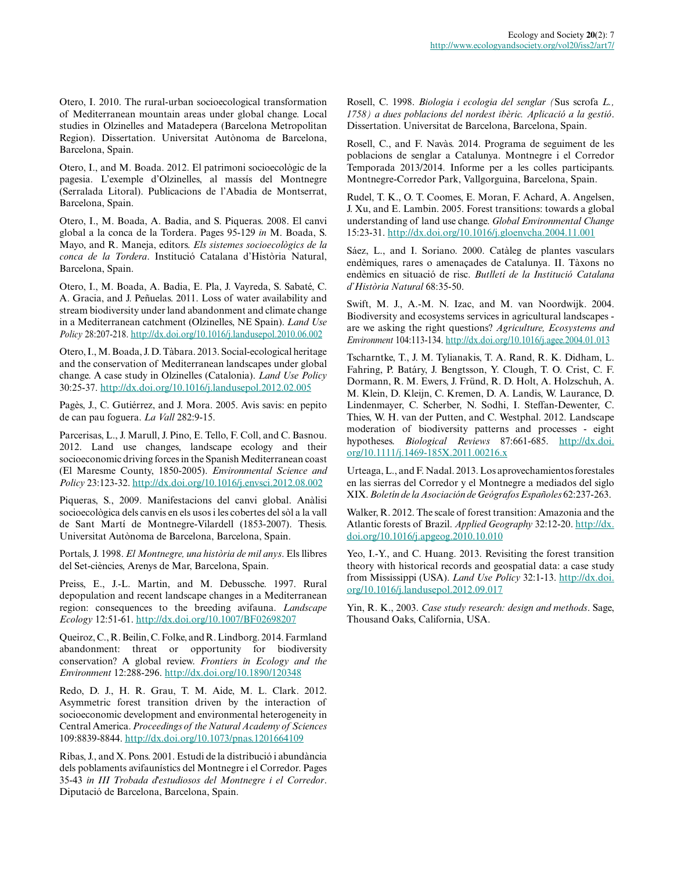Otero, I. 2010. The rural-urban socioecological transformation of Mediterranean mountain areas under global change. Local studies in Olzinelles and Matadepera (Barcelona Metropolitan Region). Dissertation. Universitat Autònoma de Barcelona, Barcelona, Spain.

Otero, I., and M. Boada. 2012. El patrimoni socioecològic de la pagesia. L'exemple d'Olzinelles, al massís del Montnegre (Serralada Litoral). Publicacions de l'Abadia de Montserrat, Barcelona, Spain.

Otero, I., M. Boada, A. Badia, and S. Piqueras. 2008. El canvi global a la conca de la Tordera. Pages 95-129 *in* M. Boada, S. Mayo, and R. Maneja, editors. *Els sistemes socioecològics de la conca de la Tordera*. Institució Catalana d'Història Natural, Barcelona, Spain.

Otero, I., M. Boada, A. Badia, E. Pla, J. Vayreda, S. Sabaté, C. A. Gracia, and J. Peñuelas. 2011. Loss of water availability and stream biodiversity under land abandonment and climate change in a Mediterranean catchment (Olzinelles, NE Spain). *Land Use Policy* 28:207-218. [http://dx.doi.org/10.1016/j.landusepol.2010.06.002](http://dx.doi.org/10.1016%2Fj.landusepol.2010.06.002) 

Otero, I., M. Boada, J. D. Tàbara. 2013. Social-ecological heritage and the conservation of Mediterranean landscapes under global change. A case study in Olzinelles (Catalonia). *Land Use Policy* 30:25-37. [http://dx.doi.org/10.1016/j.landusepol.2012.02.005](http://dx.doi.org/10.1016%2Fj.landusepol.2012.02.005) 

Pagès, J., C. Gutiérrez, and J. Mora. 2005. Avis savis: en pepito de can pau foguera. *La Vall* 282:9-15.

Parcerisas, L., J. Marull, J. Pino, E. Tello, F. Coll, and C. Basnou. 2012. Land use changes, landscape ecology and their socioeconomic driving forces in the Spanish Mediterranean coast (El Maresme County, 1850-2005). *Environmental Science and Policy* 23:123-32. [http://dx.doi.org/10.1016/j.envsci.2012.08.002](http://dx.doi.org/10.1016%2Fj.envsci.2012.08.002)

Piqueras, S., 2009. Manifestacions del canvi global. Anàlisi socioecològica dels canvis en els usos i les cobertes del sòl a la vall de Sant Martí de Montnegre-Vilardell (1853-2007). Thesis. Universitat Autònoma de Barcelona, Barcelona, Spain.

Portals, J. 1998. *El Montnegre, una història de mil anys*. Els llibres del Set-ciències, Arenys de Mar, Barcelona, Spain.

Preiss, E., J.-L. Martin, and M. Debussche. 1997. Rural depopulation and recent landscape changes in a Mediterranean region: consequences to the breeding avifauna. *Landscape Ecology* 12:51-61. [http://dx.doi.org/10.1007/BF02698207](http://dx.doi.org/10.1007%2FBF02698207) 

Queiroz, C., R. Beilin, C. Folke, and R. Lindborg. 2014. Farmland abandonment: threat or opportunity for biodiversity conservation? A global review. *Frontiers in Ecology and the Environment* 12:288-296. [http://dx.doi.org/10.1890/120348](http://dx.doi.org/10.1890%2F120348) 

Redo, D. J., H. R. Grau, T. M. Aide, M. L. Clark. 2012. Asymmetric forest transition driven by the interaction of socioeconomic development and environmental heterogeneity in Central America. *Proceedings of the Natural Academy of Sciences* 109:8839-8844. [http://dx.doi.org/10.1073/pnas.1201664109](http://dx.doi.org/10.1073%2Fpnas.1201664109) 

Ribas, J., and X. Pons. 2001. Estudi de la distribució i abundància dels poblaments avifaunístics del Montnegre i el Corredor. Pages 35-43 *in III Trobada d'estudiosos del Montnegre i el Corredor*. Diputació de Barcelona, Barcelona, Spain.

Rosell, C. 1998. *Biologia i ecologia del senglar (*Sus scrofa *L., 1758) a dues poblacions del nordest ibèric. Aplicació a la gestió*. Dissertation. Universitat de Barcelona, Barcelona, Spain.

Rosell, C., and F. Navàs. 2014. Programa de seguiment de les poblacions de senglar a Catalunya. Montnegre i el Corredor Temporada 2013/2014. Informe per a les colles participants. Montnegre-Corredor Park, Vallgorguina, Barcelona, Spain.

Rudel, T. K., O. T. Coomes, E. Moran, F. Achard, A. Angelsen, J. Xu, and E. Lambin. 2005. Forest transitions: towards a global understanding of land use change. *Global Environmental Change* 15:23-31. [http://dx.doi.org/10.1016/j.gloenvcha.2004.11.001](http://dx.doi.org/10.1016%2Fj.gloenvcha.2004.11.001)

Sáez, L., and I. Soriano. 2000. Catàleg de plantes vasculars endèmiques, rares o amenaçades de Catalunya. II. Tàxons no endèmics en situació de risc. *Butlletí de la Institució Catalana d'Història Natural* 68:35-50.

Swift, M. J., A.-M. N. Izac, and M. van Noordwijk. 2004. Biodiversity and ecosystems services in agricultural landscapes are we asking the right questions? *Agriculture, Ecosystems and Environment* 104:113-134. [http://dx.doi.org/10.1016/j.agee.2004.01.013](http://dx.doi.org/10.1016%2Fj.agee.2004.01.013) 

Tscharntke, T., J. M. Tylianakis, T. A. Rand, R. K. Didham, L. Fahring, P. Batáry, J. Bengtsson, Y. Clough, T. O. Crist, C. F. Dormann, R. M. Ewers, J. Fründ, R. D. Holt, A. Holzschuh, A. M. Klein, D. Kleijn, C. Kremen, D. A. Landis, W. Laurance, D. Lindenmayer, C. Scherber, N. Sodhi, I. Steffan-Dewenter, C. Thies, W. H. van der Putten, and C. Westphal. 2012. Landscape moderation of biodiversity patterns and processes - eight hypotheses. *Biological Reviews* 87:661-685. [http://dx.doi.](http://dx.doi.org/10.1111%2Fj.1469-185X.2011.00216.x) [org/10.1111/j.1469-185X.2011.00216.x](http://dx.doi.org/10.1111%2Fj.1469-185X.2011.00216.x) 

Urteaga, L., and F. Nadal. 2013. Los aprovechamientos forestales en las sierras del Corredor y el Montnegre a mediados del siglo XIX. *Boletín de la Asociación de Geógrafos Españoles* 62:237-263.

Walker, R. 2012. The scale of forest transition: Amazonia and the Atlantic forests of Brazil. *Applied Geography* 32:12-20. [http://dx.](http://dx.doi.org/10.1016%2Fj.apgeog.2010.10.010) [doi.org/10.1016/j.apgeog.2010.10.010](http://dx.doi.org/10.1016%2Fj.apgeog.2010.10.010) 

Yeo, I.-Y., and C. Huang. 2013. Revisiting the forest transition theory with historical records and geospatial data: a case study from Mississippi (USA). *Land Use Policy* 32:1-13. [http://dx.doi.](http://dx.doi.org/10.1016%2Fj.landusepol.2012.09.017) [org/10.1016/j.landusepol.2012.09.017](http://dx.doi.org/10.1016%2Fj.landusepol.2012.09.017) 

Yin, R. K., 2003. *Case study research: design and methods*. Sage, Thousand Oaks, California, USA.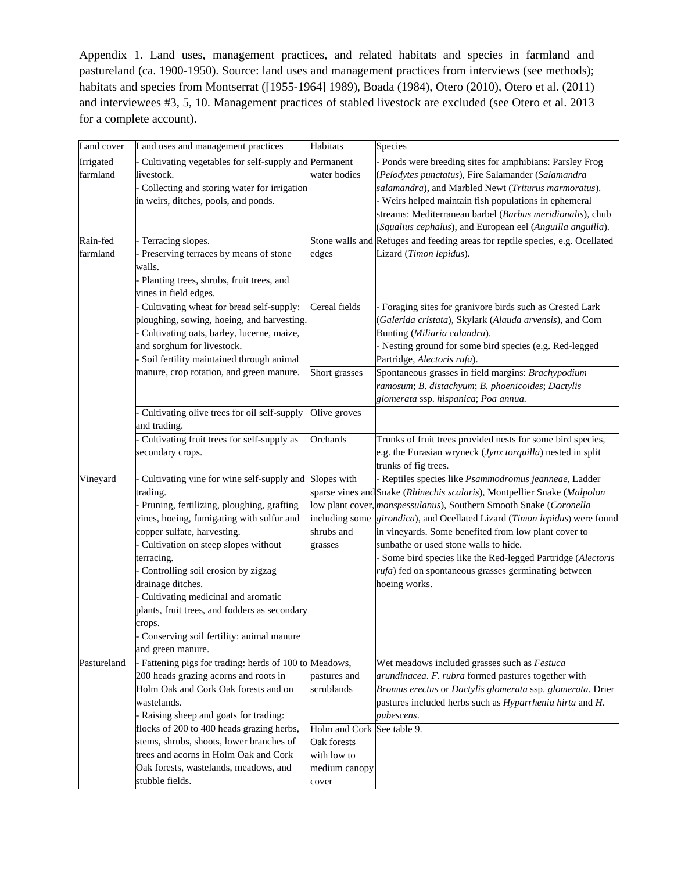Appendix 1. Land uses, management practices, and related habitats and species in farmland and pastureland (ca. 1900-1950). Source: land uses and management practices from interviews (see methods); habitats and species from Montserrat ([1955-1964] 1989), Boada (1984), Otero (2010), Otero et al. (2011) and interviewees #3, 5, 10. Management practices of stabled livestock are excluded (see Otero et al. 2013 for a complete account).

| Land cover  | Land uses and management practices                     | Habitats                   | Species                                                                            |
|-------------|--------------------------------------------------------|----------------------------|------------------------------------------------------------------------------------|
| Irrigated   | Cultivating vegetables for self-supply and Permanent   |                            | Ponds were breeding sites for amphibians: Parsley Frog                             |
| farmland    | livestock.                                             | water bodies               | (Pelodytes punctatus), Fire Salamander (Salamandra                                 |
|             | Collecting and storing water for irrigation            |                            | salamandra), and Marbled Newt (Triturus marmoratus).                               |
|             | in weirs, ditches, pools, and ponds.                   |                            | - Weirs helped maintain fish populations in ephemeral                              |
|             |                                                        |                            | streams: Mediterranean barbel (Barbus meridionalis), chub                          |
|             |                                                        |                            | (Squalius cephalus), and European eel (Anguilla anguilla).                         |
| Rain-fed    | Terracing slopes.                                      |                            | Stone walls and Refuges and feeding areas for reptile species, e.g. Ocellated      |
| farmland    | Preserving terraces by means of stone                  | edges                      | Lizard (Timon lepidus).                                                            |
|             | walls.                                                 |                            |                                                                                    |
|             | Planting trees, shrubs, fruit trees, and               |                            |                                                                                    |
|             | vines in field edges.                                  |                            |                                                                                    |
|             | Cultivating wheat for bread self-supply:               | Cereal fields              | Foraging sites for granivore birds such as Crested Lark                            |
|             | ploughing, sowing, hoeing, and harvesting.             |                            | (Galerida cristata), Skylark (Alauda arvensis), and Corn                           |
|             | Cultivating oats, barley, lucerne, maize,              |                            | Bunting (Miliaria calandra).                                                       |
|             | and sorghum for livestock.                             |                            | - Nesting ground for some bird species (e.g. Red-legged                            |
|             | Soil fertility maintained through animal               |                            | Partridge, Alectoris rufa).                                                        |
|             | manure, crop rotation, and green manure.               | Short grasses              | Spontaneous grasses in field margins: Brachypodium                                 |
|             |                                                        |                            | ramosum; B. distachyum; B. phoenicoides; Dactylis                                  |
|             |                                                        |                            | glomerata ssp. hispanica; Poa annua.                                               |
|             | Cultivating olive trees for oil self-supply            | Olive groves               |                                                                                    |
|             | and trading.                                           |                            |                                                                                    |
|             | Cultivating fruit trees for self-supply as             | Orchards                   | Trunks of fruit trees provided nests for some bird species,                        |
|             | secondary crops.                                       |                            | e.g. the Eurasian wryneck (Jynx torquilla) nested in split                         |
|             |                                                        |                            | trunks of fig trees.                                                               |
| Vineyard    | Cultivating vine for wine self-supply and Slopes with  |                            | - Reptiles species like Psammodromus jeanneae, Ladder                              |
|             | trading.                                               |                            | sparse vines and Snake (Rhinechis scalaris), Montpellier Snake (Malpolon           |
|             | - Pruning, fertilizing, ploughing, grafting            |                            | low plant cover, <i>monspessulanus</i> ), Southern Smooth Snake (Coronella         |
|             | vines, hoeing, fumigating with sulfur and              |                            | including some <i>girondica</i> ), and Ocellated Lizard (Timon lepidus) were found |
|             | copper sulfate, harvesting.                            | shrubs and                 | in vineyards. Some benefited from low plant cover to                               |
|             | Cultivation on steep slopes without                    | grasses                    | sunbathe or used stone walls to hide.                                              |
|             | terracing.                                             |                            | Some bird species like the Red-legged Partridge (Alectoris                         |
|             | Controlling soil erosion by zigzag                     |                            | rufa) fed on spontaneous grasses germinating between                               |
|             | drainage ditches.                                      |                            | hoeing works.                                                                      |
|             | Cultivating medicinal and aromatic                     |                            |                                                                                    |
|             | plants, fruit trees, and fodders as secondary          |                            |                                                                                    |
|             | crops.                                                 |                            |                                                                                    |
|             | Conserving soil fertility: animal manure               |                            |                                                                                    |
|             | and green manure.                                      |                            |                                                                                    |
| Pastureland | - Fattening pigs for trading: herds of 100 to Meadows, |                            | Wet meadows included grasses such as Festuca                                       |
|             | 200 heads grazing acorns and roots in                  | pastures and               | arundinacea. F. rubra formed pastures together with                                |
|             | Holm Oak and Cork Oak forests and on                   | scrublands                 | Bromus erectus or Dactylis glomerata ssp. glomerata. Drier                         |
|             | wastelands.                                            |                            | pastures included herbs such as Hyparrhenia hirta and H.                           |
|             | - Raising sheep and goats for trading:                 |                            | pubescens.                                                                         |
|             | flocks of 200 to 400 heads grazing herbs,              | Holm and Cork See table 9. |                                                                                    |
|             | stems, shrubs, shoots, lower branches of               | Oak forests                |                                                                                    |
|             | trees and acorns in Holm Oak and Cork                  | with low to                |                                                                                    |
|             | Oak forests, wastelands, meadows, and                  | medium canopy              |                                                                                    |
|             | stubble fields.                                        | cover                      |                                                                                    |